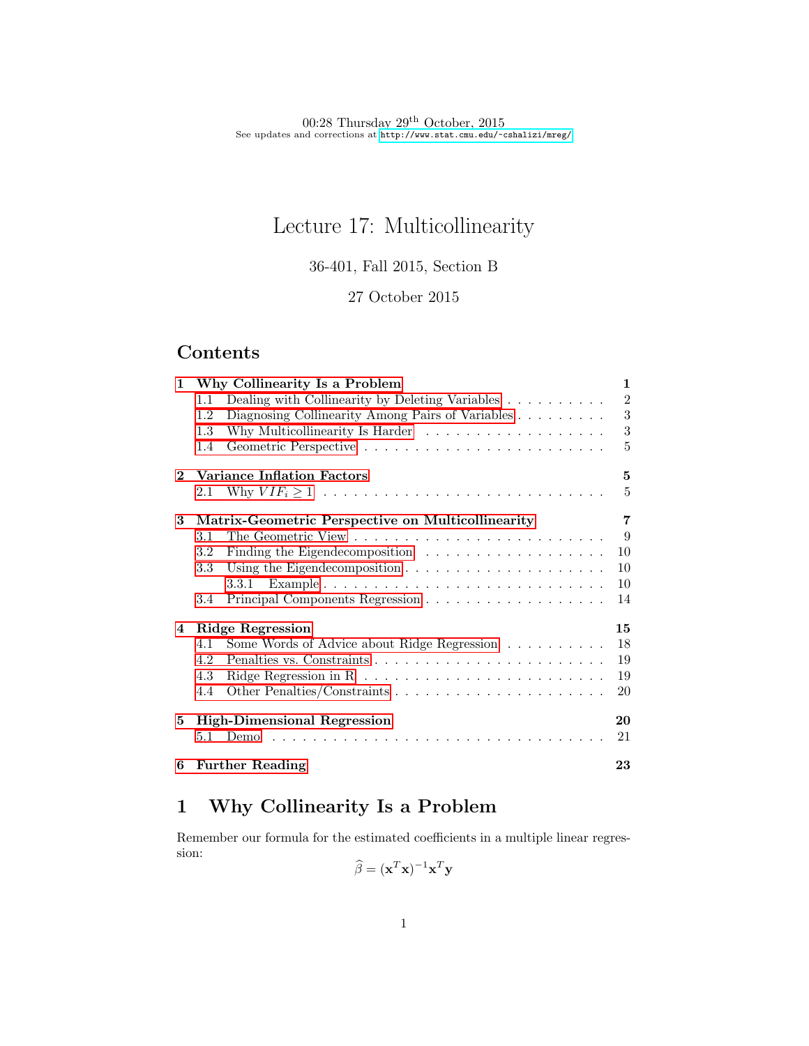# Lecture 17: Multicollinearity

36-401, Fall 2015, Section B

### 27 October 2015

# Contents

| $\mathbf{1}$   | Why Collinearity Is a Problem                                                          |                |  |  |  |
|----------------|----------------------------------------------------------------------------------------|----------------|--|--|--|
|                | Dealing with Collinearity by Deleting Variables $\ldots \ldots \ldots$<br>1.1          | $\overline{2}$ |  |  |  |
|                | Diagnosing Collinearity Among Pairs of Variables<br>1.2                                | 3              |  |  |  |
|                | 1.3                                                                                    | 3              |  |  |  |
|                | 1.4                                                                                    | 5              |  |  |  |
| $\overline{2}$ | <b>Variance Inflation Factors</b>                                                      |                |  |  |  |
|                | 2.1                                                                                    | 5              |  |  |  |
| 3              | Matrix-Geometric Perspective on Multicollinearity                                      |                |  |  |  |
|                | 3.1                                                                                    | 9              |  |  |  |
|                | 3.2                                                                                    | 10             |  |  |  |
|                | 3.3<br>Using the Eigendecomposition $\ldots \ldots \ldots \ldots \ldots \ldots \ldots$ | 10             |  |  |  |
|                |                                                                                        | 10             |  |  |  |
|                | 3.4                                                                                    | 14             |  |  |  |
| 4              | Ridge Regression                                                                       | 15             |  |  |  |
|                | Some Words of Advice about Ridge Regression<br>4.1                                     | 18             |  |  |  |
|                | 4.2                                                                                    | 19             |  |  |  |
|                | 4.3                                                                                    | 19             |  |  |  |
|                | 4.4                                                                                    | 20             |  |  |  |
| 5              | <b>High-Dimensional Regression</b>                                                     | 20             |  |  |  |
|                | 5.1<br>Demo                                                                            | 21             |  |  |  |
| 6              | <b>Further Reading</b>                                                                 | 23             |  |  |  |

# <span id="page-0-0"></span>1 Why Collinearity Is a Problem

Remember our formula for the estimated coefficients in a multiple linear regression:

$$
\widehat{\beta} = (\mathbf{x}^T \mathbf{x})^{-1} \mathbf{x}^T \mathbf{y}
$$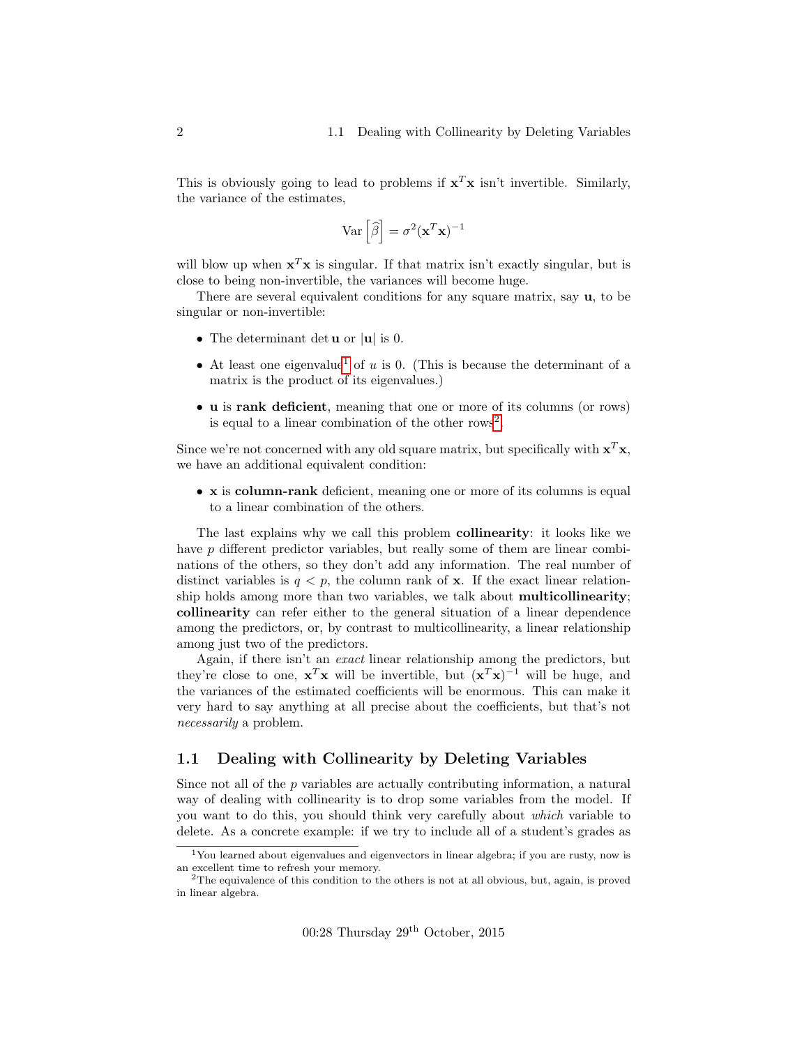This is obviously going to lead to problems if  $x^T x$  isn't invertible. Similarly, the variance of the estimates,

$$
\text{Var}\left[\widehat{\beta}\right] = \sigma^2 (\mathbf{x}^T \mathbf{x})^{-1}
$$

will blow up when  $x^T x$  is singular. If that matrix isn't exactly singular, but is close to being non-invertible, the variances will become huge.

There are several equivalent conditions for any square matrix, say  $\mathbf{u}$ , to be singular or non-invertible:

- The determinant det  $\bf{u}$  or  $|\bf{u}|$  is 0.
- At least one eigenvalue<sup>[1](#page-1-1)</sup> of u is 0. (This is because the determinant of a matrix is the product of its eigenvalues.)
- u is rank deficient, meaning that one or more of its columns (or rows) is equal to a linear combination of the other rows<sup>[2](#page-1-2)</sup>.

Since we're not concerned with any old square matrix, but specifically with  $x^T x$ , we have an additional equivalent condition:

• x is column-rank deficient, meaning one or more of its columns is equal to a linear combination of the others.

The last explains why we call this problem collinearity: it looks like we have p different predictor variables, but really some of them are linear combinations of the others, so they don't add any information. The real number of distinct variables is  $q < p$ , the column rank of **x**. If the exact linear relationship holds among more than two variables, we talk about multicollinearity; collinearity can refer either to the general situation of a linear dependence among the predictors, or, by contrast to multicollinearity, a linear relationship among just two of the predictors.

Again, if there isn't an exact linear relationship among the predictors, but they're close to one,  $\mathbf{x}^T\mathbf{x}$  will be invertible, but  $(\mathbf{x}^T\mathbf{x})^{-1}$  will be huge, and the variances of the estimated coefficients will be enormous. This can make it very hard to say anything at all precise about the coefficients, but that's not necessarily a problem.

#### <span id="page-1-0"></span>1.1 Dealing with Collinearity by Deleting Variables

Since not all of the p variables are actually contributing information, a natural way of dealing with collinearity is to drop some variables from the model. If you want to do this, you should think very carefully about which variable to delete. As a concrete example: if we try to include all of a student's grades as

<span id="page-1-1"></span><sup>1</sup>You learned about eigenvalues and eigenvectors in linear algebra; if you are rusty, now is an excellent time to refresh your memory.

<span id="page-1-2"></span> $2$ The equivalence of this condition to the others is not at all obvious, but, again, is proved in linear algebra.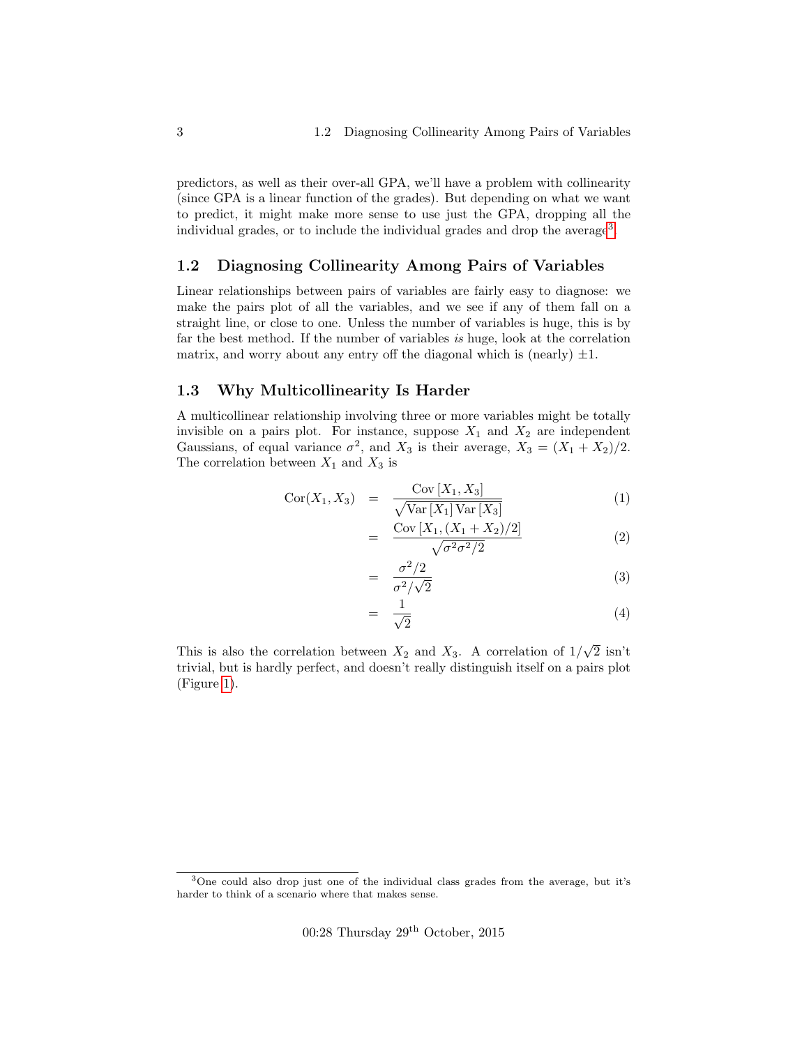predictors, as well as their over-all GPA, we'll have a problem with collinearity (since GPA is a linear function of the grades). But depending on what we want to predict, it might make more sense to use just the GPA, dropping all the individual grades, or to include the individual grades and drop the average<sup>[3](#page-2-2)</sup>.

#### <span id="page-2-0"></span>1.2 Diagnosing Collinearity Among Pairs of Variables

Linear relationships between pairs of variables are fairly easy to diagnose: we make the pairs plot of all the variables, and we see if any of them fall on a straight line, or close to one. Unless the number of variables is huge, this is by far the best method. If the number of variables is huge, look at the correlation matrix, and worry about any entry off the diagonal which is (nearly)  $\pm 1$ .

#### <span id="page-2-1"></span>1.3 Why Multicollinearity Is Harder

A multicollinear relationship involving three or more variables might be totally invisible on a pairs plot. For instance, suppose  $X_1$  and  $X_2$  are independent Gaussians, of equal variance  $\sigma^2$ , and  $X_3$  is their average,  $X_3 = (X_1 + X_2)/2$ . The correlation between  $X_1$  and  $X_3$  is

$$
Cor(X_1, X_3) = \frac{Cov [X_1, X_3]}{\sqrt{Var [X_1] Var [X_3]}}
$$
\n
$$
(1)
$$

$$
= \frac{\text{Cov}\left[X_1, (X_1 + X_2)/2\right]}{\sqrt{\sigma^2 \sigma^2/2}} \tag{2}
$$

$$
= \frac{\sigma^2/2}{\sigma^2/\sqrt{2}} \tag{3}
$$

$$
= \frac{1}{\sqrt{2}} \tag{4}
$$

This is also the correlation between  $X_2$  and  $X_3$ . A correlation of  $1/$ √ 2 isn't trivial, but is hardly perfect, and doesn't really distinguish itself on a pairs plot (Figure [1\)](#page-3-0).

 $00:28$  Thursday  $29<sup>th</sup>$  October,  $2015$ 

<span id="page-2-2"></span><sup>3</sup>One could also drop just one of the individual class grades from the average, but it's harder to think of a scenario where that makes sense.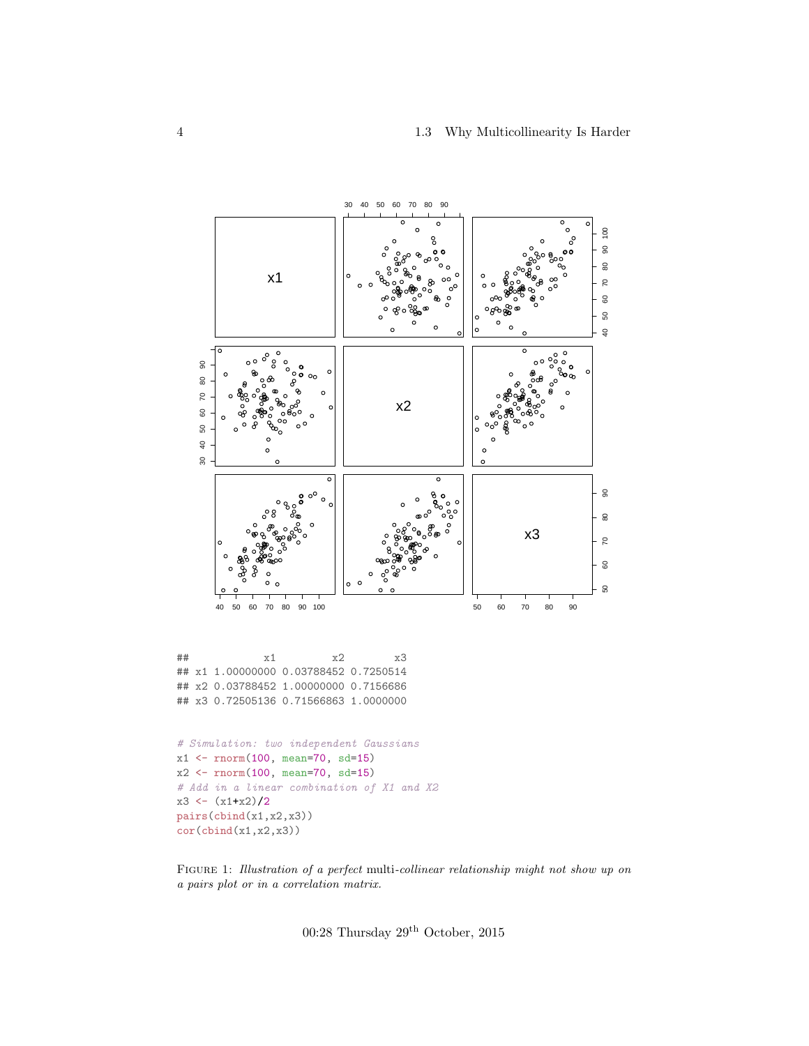#### 4 1.3 Why Multicollinearity Is Harder

<span id="page-3-0"></span>

FIGURE 1: Illustration of a perfect multi-collinear relationship might not show up on a pairs plot or in a correlation matrix.

00:28 Thursday  $29^{\rm th}$  October, 2015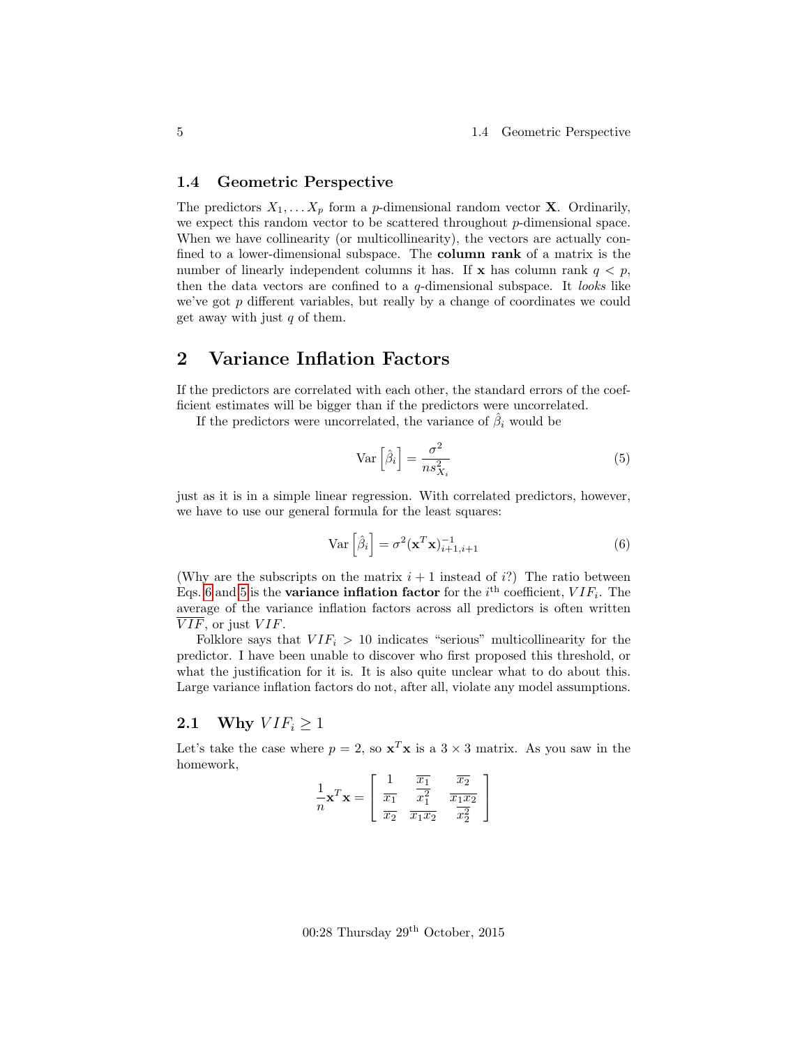#### <span id="page-4-0"></span>1.4 Geometric Perspective

The predictors  $X_1, \ldots X_p$  form a p-dimensional random vector **X**. Ordinarily, we expect this random vector to be scattered throughout p-dimensional space. When we have collinearity (or multicollinearity), the vectors are actually confined to a lower-dimensional subspace. The column rank of a matrix is the number of linearly independent columns it has. If x has column rank  $q < p$ , then the data vectors are confined to a  $q$ -dimensional subspace. It looks like we've got p different variables, but really by a change of coordinates we could get away with just  $q$  of them.

### <span id="page-4-1"></span>2 Variance Inflation Factors

If the predictors are correlated with each other, the standard errors of the coefficient estimates will be bigger than if the predictors were uncorrelated.

If the predictors were uncorrelated, the variance of  $\hat{\beta}_i$  would be

<span id="page-4-4"></span>
$$
\operatorname{Var}\left[\hat{\beta}_i\right] = \frac{\sigma^2}{n s_{X_i}^2} \tag{5}
$$

just as it is in a simple linear regression. With correlated predictors, however, we have to use our general formula for the least squares:

<span id="page-4-3"></span>
$$
\text{Var}\left[\hat{\beta}_i\right] = \sigma^2 (\mathbf{x}^T \mathbf{x})_{i+1, i+1}^{-1} \tag{6}
$$

(Why are the subscripts on the matrix  $i + 1$  instead of i?) The ratio between Eqs. [6](#page-4-3) and [5](#page-4-4) is the **variance inflation factor** for the  $i<sup>th</sup>$  coefficient,  $VIF_i$ . The average of the variance inflation factors across all predictors is often written  $\overline{VIF}$ , or just  $VIF$ .

Folklore says that  $VIF_i > 10$  indicates "serious" multicollinearity for the predictor. I have been unable to discover who first proposed this threshold, or what the justification for it is. It is also quite unclear what to do about this. Large variance inflation factors do not, after all, violate any model assumptions.

#### <span id="page-4-2"></span>2.1 Why  $VIF_i > 1$

Let's take the case where  $p = 2$ , so  $\mathbf{x}^T \mathbf{x}$  is a  $3 \times 3$  matrix. As you saw in the homework,

|   | $x_1$   |                     | $\overline{x_1x_2}$ |
|---|---------|---------------------|---------------------|
| n | $x_{2}$ | $\overline{x_1x_2}$ |                     |

 $00:28$  Thursday  $29<sup>th</sup>$  October,  $2015$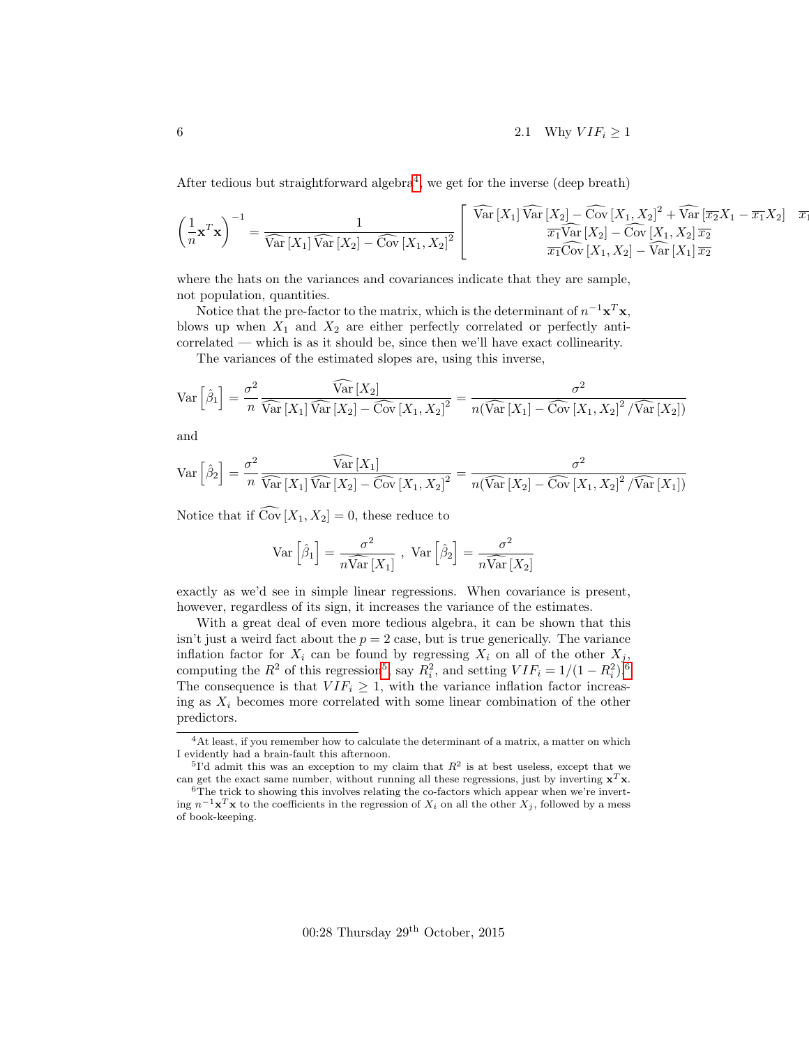After tedious but straightforward algebra<sup>[4](#page-5-0)</sup>, we get for the inverse (deep breath)

$$
\left(\frac{1}{n}\mathbf{x}^T\mathbf{x}\right)^{-1} = \frac{1}{\widehat{\text{Var}\left[X_1\right]\widehat{\text{Var}\left[X_2\right] - \widehat{\text{Cov}}\left[X_1, X_2\right]^2}}}\n\left[\n\begin{array}{c}\n\widehat{\text{Var}\left[X_1\right]\widehat{\text{Var}\left[X_2\right] - \widehat{\text{Cov}}\left[X_1, X_2\right]^2 + \widehat{\text{Var}\left[\overline{x_2}X_1 - \overline{x_1}X_2\right] - \overline{x_2}} \\
\frac{\overline{x_1}\widehat{\text{Var}\left[X_2\right] - \widehat{\text{Cov}}\left[X_1, X_2\right]^2 + \widehat{\text{Var}\left[\overline{x_2}X_1 - \overline{x_1}X_2\right] - \overline{x_2}}}{\overline{x_1}\widehat{\text{Cov}\left[X_1, X_2\right] - \widehat{\text{Var}\left[X_1\right]\overline{x_2}}}\n\end{array}\n\right]
$$

where the hats on the variances and covariances indicate that they are sample, not population, quantities.

Notice that the pre-factor to the matrix, which is the determinant of  $n^{-1} \mathbf{x}^T \mathbf{x}$ , blows up when  $X_1$  and  $X_2$  are either perfectly correlated or perfectly anticorrelated — which is as it should be, since then we'll have exact collinearity.

The variances of the estimated slopes are, using this inverse,

$$
\text{Var}\left[\hat{\beta}_1\right] = \frac{\sigma^2}{n} \frac{\widehat{\text{Var}}\left[X_2\right]}{\widehat{\text{Var}}\left[X_1\right] \widehat{\text{Var}}\left[X_2\right] - \widehat{\text{Cov}}\left[X_1, X_2\right]^2} = \frac{\sigma^2}{n(\widehat{\text{Var}}\left[X_1\right] - \widehat{\text{Cov}}\left[X_1, X_2\right]^2 / \widehat{\text{Var}}\left[X_2\right])}
$$

and

$$
\text{Var}\left[\hat{\beta}_2\right] = \frac{\sigma^2}{n} \frac{\widehat{\text{Var}}\left[X_1\right]}{\widehat{\text{Var}}\left[X_1\right] \widehat{\text{Var}}\left[X_2\right] - \widehat{\text{Cov}}\left[X_1, X_2\right]^2} = \frac{\sigma^2}{n(\widehat{\text{Var}}\left[X_2\right] - \widehat{\text{Cov}}\left[X_1, X_2\right]^2 / \widehat{\text{Var}}\left[X_1\right])}
$$

Notice that if  $\widehat{\text{Cov}}[X_1, X_2] = 0$ , these reduce to

$$
\text{Var}\left[\hat{\beta}_1\right] = \frac{\sigma^2}{n\widehat{\text{Var}}\left[X_1\right]}, \text{ Var}\left[\hat{\beta}_2\right] = \frac{\sigma^2}{n\widehat{\text{Var}}\left[X_2\right]}
$$

exactly as we'd see in simple linear regressions. When covariance is present, however, regardless of its sign, it increases the variance of the estimates.

With a great deal of even more tedious algebra, it can be shown that this isn't just a weird fact about the  $p = 2$  case, but is true generically. The variance inflation factor for  $X_i$  can be found by regressing  $X_i$  on all of the other  $X_i$ , computing the  $R^2$  of this regression<sup>[5](#page-5-1)</sup>, say  $R_i^2$ , and setting  $VIF_i = 1/(1 - R_i^2)^6$  $VIF_i = 1/(1 - R_i^2)^6$ . The consequence is that  $VIF_i \geq 1$ , with the variance inflation factor increasing as  $X_i$  becomes more correlated with some linear combination of the other predictors.

<span id="page-5-0"></span> ${}^{4}\mathrm{At}$  least, if you remember how to calculate the determinant of a matrix, a matter on which I evidently had a brain-fault this afternoon.

<span id="page-5-1"></span><sup>&</sup>lt;sup>5</sup>I'd admit this was an exception to my claim that  $R^2$  is at best useless, except that we can get the exact same number, without running all these regressions, just by inverting  $x^T x$ .

<span id="page-5-2"></span> $6$ The trick to showing this involves relating the co-factors which appear when we're inverting  $n^{-1} \mathbf{x}^T \mathbf{x}$  to the coefficients in the regression of  $X_i$  on all the other  $X_j$ , followed by a mess of book-keeping.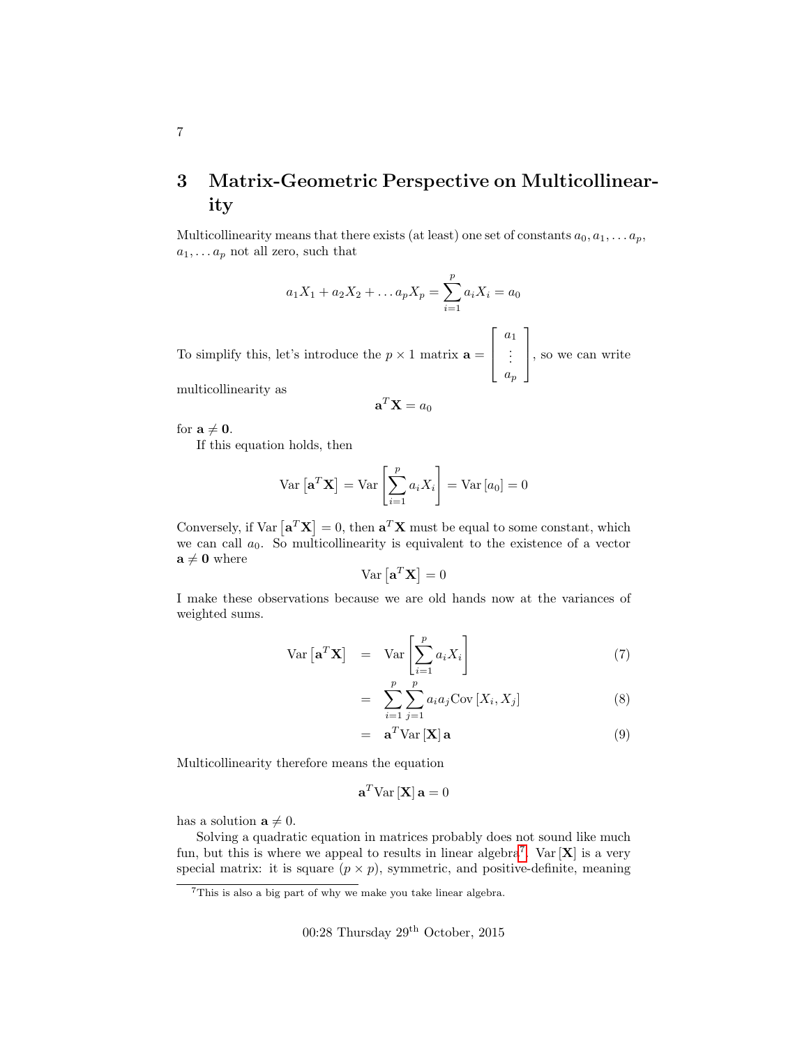# <span id="page-6-0"></span>3 Matrix-Geometric Perspective on Multicollinearity

Multicollinearity means that there exists (at least) one set of constants  $a_0, a_1, \ldots a_p$ ,  $a_1, \ldots a_p$  not all zero, such that

$$
a_1X_1 + a_2X_2 + \dots + a_pX_p = \sum_{i=1}^p a_iX_i = a_0
$$

To simplify this, let's introduce the  $p \times 1$  matrix  $\mathbf{a} =$  $\lceil$  $\Big\}$  $a_1$ . . . ap 1 , so we can write

multicollinearity as

$$
\mathbf{a}^T \mathbf{X} = a_0
$$

for  $a \neq 0$ .

If this equation holds, then

$$
\text{Var}\left[\mathbf{a}^T \mathbf{X}\right] = \text{Var}\left[\sum_{i=1}^p a_i X_i\right] = \text{Var}\left[a_0\right] = 0
$$

Conversely, if  $Var\left[\mathbf{a}^T\mathbf{X}\right] = 0$ , then  $\mathbf{a}^T\mathbf{X}$  must be equal to some constant, which we can call  $a_0$ . So multicollinearity is equivalent to the existence of a vector  $\mathbf{a} \neq \mathbf{0}$  where

$$
\text{Var}\left[\mathbf{a}^T \mathbf{X}\right] = 0
$$

I make these observations because we are old hands now at the variances of weighted sums.

$$
\operatorname{Var}\left[\mathbf{a}^T \mathbf{X}\right] = \operatorname{Var}\left[\sum_{i=1}^p a_i X_i\right] \tag{7}
$$

$$
= \sum_{i=1}^{p} \sum_{j=1}^{p} a_i a_j \text{Cov}[X_i, X_j]
$$
 (8)

$$
= \mathbf{a}^T \text{Var} \left[ \mathbf{X} \right] \mathbf{a} \tag{9}
$$

Multicollinearity therefore means the equation

$$
\mathbf{a}^T \text{Var} \left[ \mathbf{X} \right] \mathbf{a} = 0
$$

has a solution  $\mathbf{a} \neq 0$ .

Solving a quadratic equation in matrices probably does not sound like much fun, but this is where we appeal to results in linear algebra<sup>[7](#page-6-1)</sup>. Var  $[X]$  is a very special matrix: it is square  $(p \times p)$ , symmetric, and positive-definite, meaning

00:28 Thursday 29th October, 2015

<span id="page-6-1"></span><sup>7</sup>This is also a big part of why we make you take linear algebra.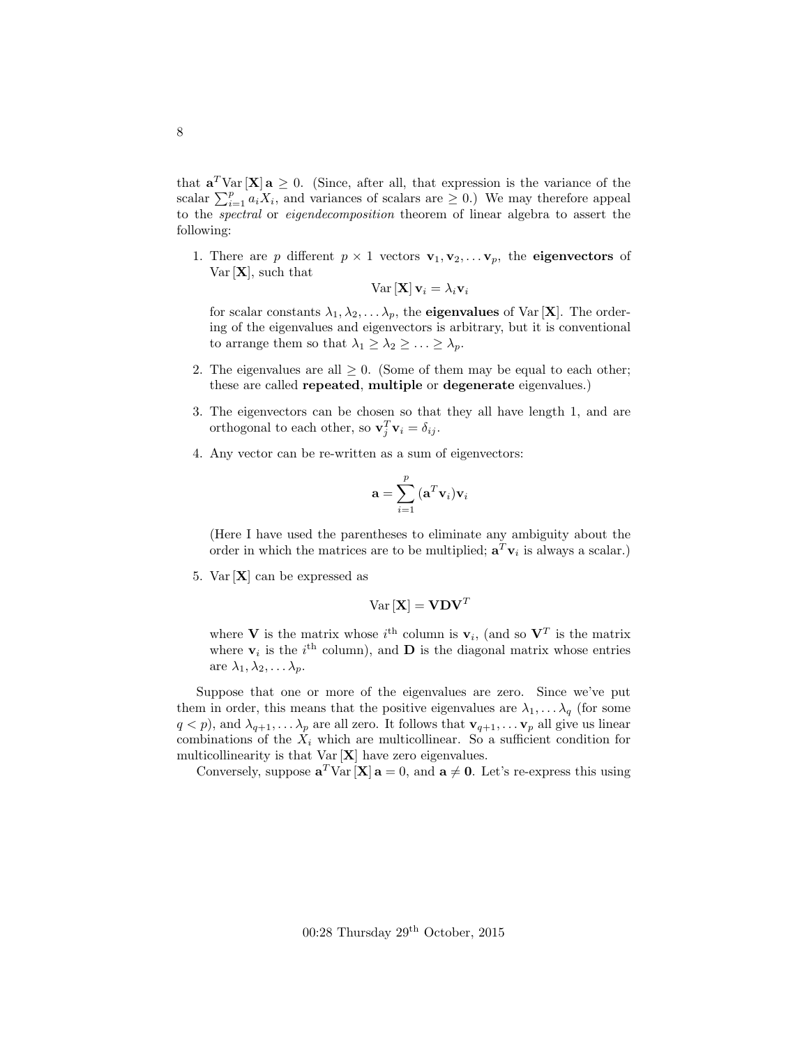that  $\mathbf{a}^T \text{Var}[\mathbf{X}] \mathbf{a} \geq 0$ . (Since, after all, that expression is the variance of the scalar  $\sum_{i=1}^{p} a_i X_i$ , and variances of scalars are  $\geq 0$ .) We may therefore appeal to the spectral or eigendecomposition theorem of linear algebra to assert the following:

1. There are p different  $p \times 1$  vectors  $\mathbf{v}_1, \mathbf{v}_2, \ldots, \mathbf{v}_p$ , the **eigenvectors** of  $Var[X]$ , such that

$$
\text{Var}\left[\mathbf{X}\right]\mathbf{v}_i = \lambda_i \mathbf{v}_i
$$

for scalar constants  $\lambda_1, \lambda_2, \ldots, \lambda_p$ , the **eigenvalues** of Var [**X**]. The ordering of the eigenvalues and eigenvectors is arbitrary, but it is conventional to arrange them so that  $\lambda_1 \geq \lambda_2 \geq \ldots \geq \lambda_p$ .

- 2. The eigenvalues are all  $\geq 0$ . (Some of them may be equal to each other; these are called repeated, multiple or degenerate eigenvalues.)
- 3. The eigenvectors can be chosen so that they all have length 1, and are orthogonal to each other, so  $\mathbf{v}_j^T \mathbf{v}_i = \delta_{ij}$ .
- 4. Any vector can be re-written as a sum of eigenvectors:

$$
\mathbf{a} = \sum_{i=1}^{p} (\mathbf{a}^{T} \mathbf{v}_i) \mathbf{v}_i
$$

(Here I have used the parentheses to eliminate any ambiguity about the order in which the matrices are to be multiplied;  $\mathbf{a}^T \mathbf{v}_i$  is always a scalar.)

5. Var  $[X]$  can be expressed as

$$
\text{Var}\left[\mathbf{X}\right] = \mathbf{V} \mathbf{D} \mathbf{V}^T
$$

where **V** is the matrix whose  $i^{\text{th}}$  column is  $\mathbf{v}_i$ , (and so  $\mathbf{V}^T$  is the matrix where  $v_i$  is the  $i^{\text{th}}$  column), and **D** is the diagonal matrix whose entries are  $\lambda_1, \lambda_2, \ldots \lambda_p$ .

Suppose that one or more of the eigenvalues are zero. Since we've put them in order, this means that the positive eigenvalues are  $\lambda_1, \ldots, \lambda_q$  (for some  $q < p$ , and  $\lambda_{q+1}, \ldots, \lambda_p$  are all zero. It follows that  $\mathbf{v}_{q+1}, \ldots, \mathbf{v}_p$  all give us linear combinations of the  $X_i$  which are multicollinear. So a sufficient condition for multicollinearity is that  $Var[X]$  have zero eigenvalues.

Conversely, suppose  $\mathbf{a}^T \text{Var}[\mathbf{X}] \mathbf{a} = 0$ , and  $\mathbf{a} \neq \mathbf{0}$ . Let's re-express this using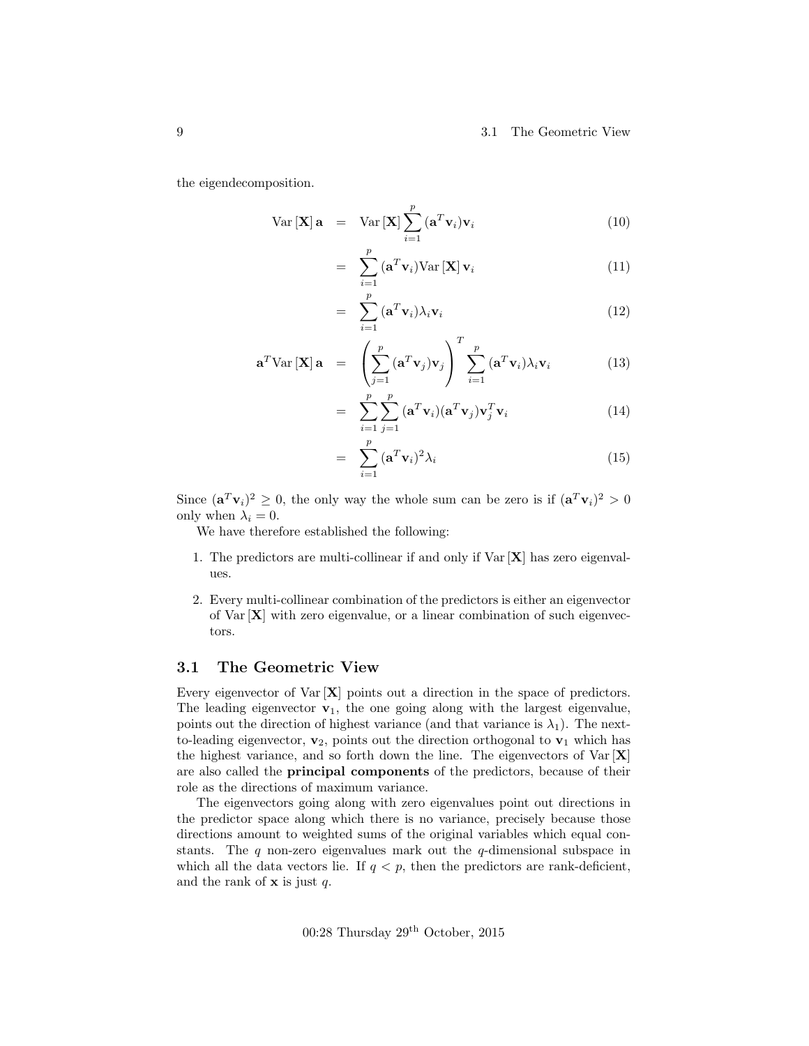#### 9 3.1 The Geometric View

the eigendecomposition.

$$
Var\left[\mathbf{X}\right]\mathbf{a} = Var\left[\mathbf{X}\right] \sum_{i=1}^{p} \left(\mathbf{a}^{T} \mathbf{v}_{i}\right) \mathbf{v}_{i}
$$
\n(10)

$$
= \sum_{i=1}^{p} (\mathbf{a}^{T} \mathbf{v}_{i}) \text{Var}[\mathbf{X}] \mathbf{v}_{i}
$$
 (11)

$$
= \sum_{i=1}^{p} (\mathbf{a}^{T} \mathbf{v}_{i}) \lambda_{i} \mathbf{v}_{i}
$$
 (12)

$$
\mathbf{a}^T \text{Var}[\mathbf{X}] \mathbf{a} = \left( \sum_{j=1}^p (\mathbf{a}^T \mathbf{v}_j) \mathbf{v}_j \right)^T \sum_{i=1}^p (\mathbf{a}^T \mathbf{v}_i) \lambda_i \mathbf{v}_i \tag{13}
$$

$$
= \sum_{i=1}^{p} \sum_{j=1}^{p} (\mathbf{a}^{T} \mathbf{v}_{i}) (\mathbf{a}^{T} \mathbf{v}_{j}) \mathbf{v}_{j}^{T} \mathbf{v}_{i}
$$
(14)

$$
= \sum_{i=1}^{p} (\mathbf{a}^{T} \mathbf{v}_{i})^{2} \lambda_{i}
$$
 (15)

Since  $(\mathbf{a}^T \mathbf{v}_i)^2 \geq 0$ , the only way the whole sum can be zero is if  $(\mathbf{a}^T \mathbf{v}_i)^2 > 0$ only when  $\lambda_i = 0$ .

We have therefore established the following:

=

- 1. The predictors are multi-collinear if and only if  $Var[X]$  has zero eigenvalues.
- 2. Every multi-collinear combination of the predictors is either an eigenvector of Var [X] with zero eigenvalue, or a linear combination of such eigenvectors.

#### <span id="page-8-0"></span>3.1 The Geometric View

Every eigenvector of  $\text{Var}[\mathbf{X}]$  points out a direction in the space of predictors. The leading eigenvector  $\mathbf{v}_1$ , the one going along with the largest eigenvalue, points out the direction of highest variance (and that variance is  $\lambda_1$ ). The nextto-leading eigenvector,  $v_2$ , points out the direction orthogonal to  $v_1$  which has the highest variance, and so forth down the line. The eigenvectors of  $Var[X]$ are also called the principal components of the predictors, because of their role as the directions of maximum variance.

The eigenvectors going along with zero eigenvalues point out directions in the predictor space along which there is no variance, precisely because those directions amount to weighted sums of the original variables which equal constants. The  $q$  non-zero eigenvalues mark out the  $q$ -dimensional subspace in which all the data vectors lie. If  $q < p$ , then the predictors are rank-deficient, and the rank of  $x$  is just  $q$ .

 $00:28$  Thursday  $29<sup>th</sup>$  October,  $2015$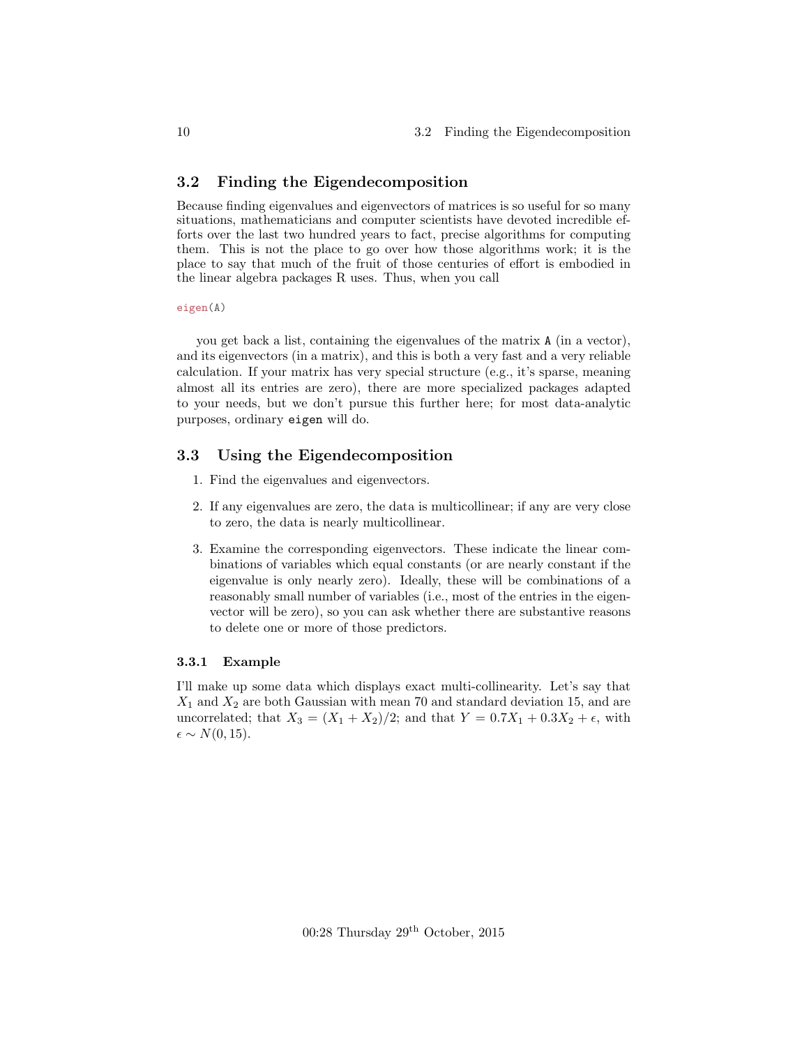#### <span id="page-9-0"></span>3.2 Finding the Eigendecomposition

Because finding eigenvalues and eigenvectors of matrices is so useful for so many situations, mathematicians and computer scientists have devoted incredible efforts over the last two hundred years to fact, precise algorithms for computing them. This is not the place to go over how those algorithms work; it is the place to say that much of the fruit of those centuries of effort is embodied in the linear algebra packages R uses. Thus, when you call

eigen(A)

you get back a list, containing the eigenvalues of the matrix A (in a vector), and its eigenvectors (in a matrix), and this is both a very fast and a very reliable calculation. If your matrix has very special structure (e.g., it's sparse, meaning almost all its entries are zero), there are more specialized packages adapted to your needs, but we don't pursue this further here; for most data-analytic purposes, ordinary eigen will do.

#### <span id="page-9-1"></span>3.3 Using the Eigendecomposition

- 1. Find the eigenvalues and eigenvectors.
- 2. If any eigenvalues are zero, the data is multicollinear; if any are very close to zero, the data is nearly multicollinear.
- 3. Examine the corresponding eigenvectors. These indicate the linear combinations of variables which equal constants (or are nearly constant if the eigenvalue is only nearly zero). Ideally, these will be combinations of a reasonably small number of variables (i.e., most of the entries in the eigenvector will be zero), so you can ask whether there are substantive reasons to delete one or more of those predictors.

#### <span id="page-9-2"></span>3.3.1 Example

I'll make up some data which displays exact multi-collinearity. Let's say that  $X_1$  and  $X_2$  are both Gaussian with mean 70 and standard deviation 15, and are uncorrelated; that  $X_3 = (X_1 + X_2)/2$ ; and that  $Y = 0.7X_1 + 0.3X_2 + \epsilon$ , with  $\epsilon \sim N(0, 15)$ .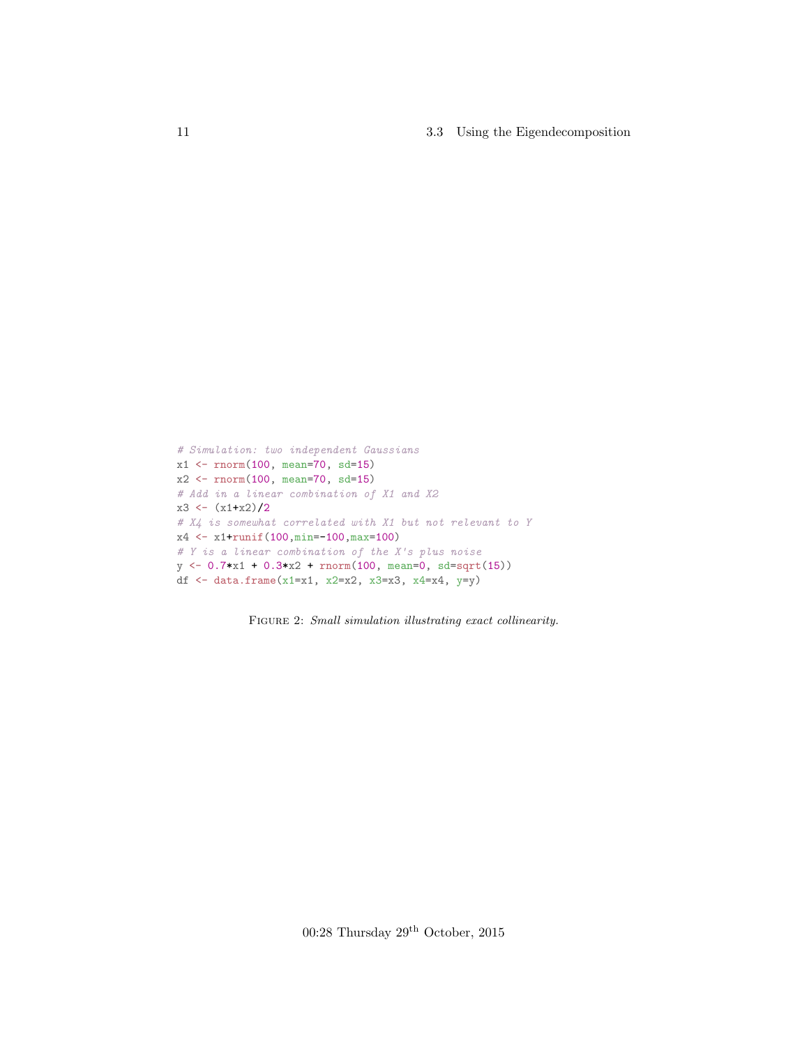11 3.3 Using the Eigendecomposition

```
# Simulation: two independent Gaussians
x1 <- rnorm(100, mean=70, sd=15)
x2 <- rnorm(100, mean=70, sd=15)
# Add in a linear combination of X1 and X2
x3 \leftarrow (x1+x2)/2# X4 is somewhat correlated with X1 but not relevant to Y
x4 <- x1+runif(100,min=-100,max=100)
# Y is a linear combination of the X's plus noise
y \leftarrow 0.7*x1 + 0.3*x2 + rnorm(100, mean=0, sd=sqrt(15))df <- data.frame(x1=x1, x2=x2, x3=x3, x4=x4, y=y)
```
FIGURE 2: Small simulation illustrating exact collinearity.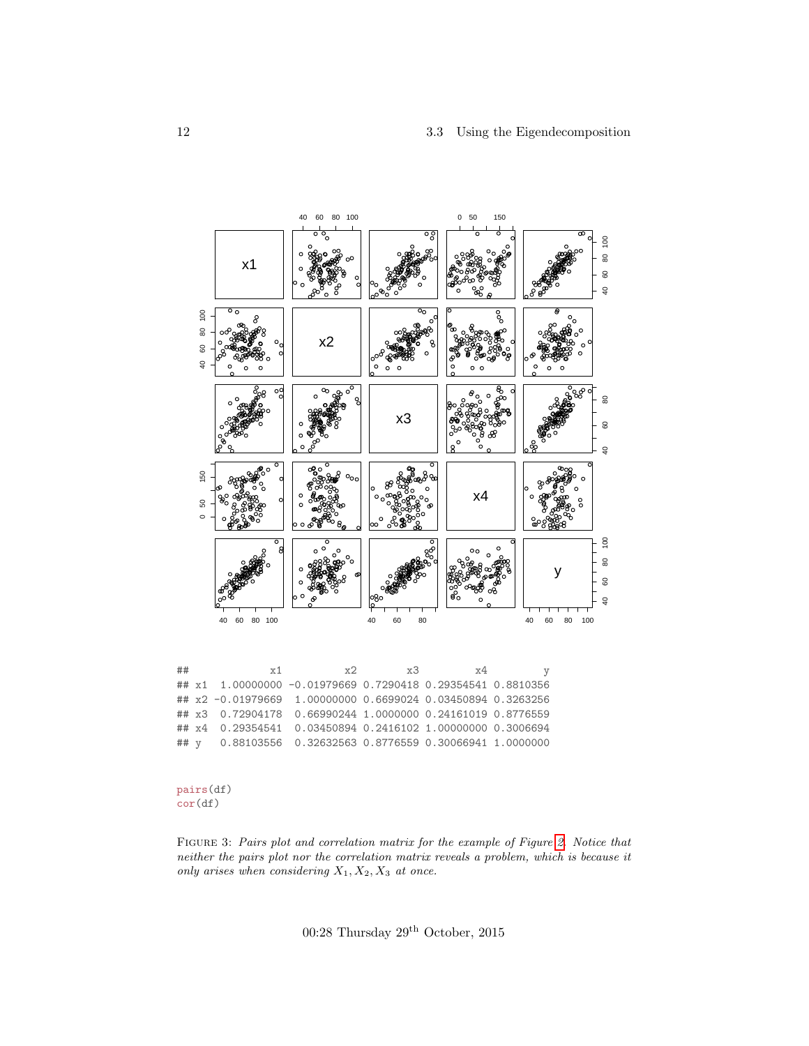#### 3.3 Using the Eigendecomposition



| ## | Y <sup>1</sup>                                              | マソー<br>$X - 1$ | x4 | $\boldsymbol{\mathrm{v}}$ |
|----|-------------------------------------------------------------|----------------|----|---------------------------|
|    | ## x1 1.00000000 -0.01979669 0.7290418 0.29354541 0.8810356 |                |    |                           |
|    | ## x2 -0.01979669 1.00000000 0.6699024 0.03450894 0.3263256 |                |    |                           |
|    | ## x3 0.72904178 0.66990244 1.0000000 0.24161019 0.8776559  |                |    |                           |
|    | ## x4 0.29354541 0.03450894 0.2416102 1.00000000 0.3006694  |                |    |                           |
|    | ## y 0.88103556 0.32632563 0.8776559 0.30066941 1.0000000   |                |    |                           |

pairs(df)  $cor(df)$ 

FIGURE 3: Pairs plot and correlation matrix for the example of Figure 2. Notice that neither the pairs plot nor the correlation matrix reveals a problem, which is because it only arises when considering  $X_1, X_2, X_3$  at once.

00:28 Thursday  $29^{\rm th}$  October, 2015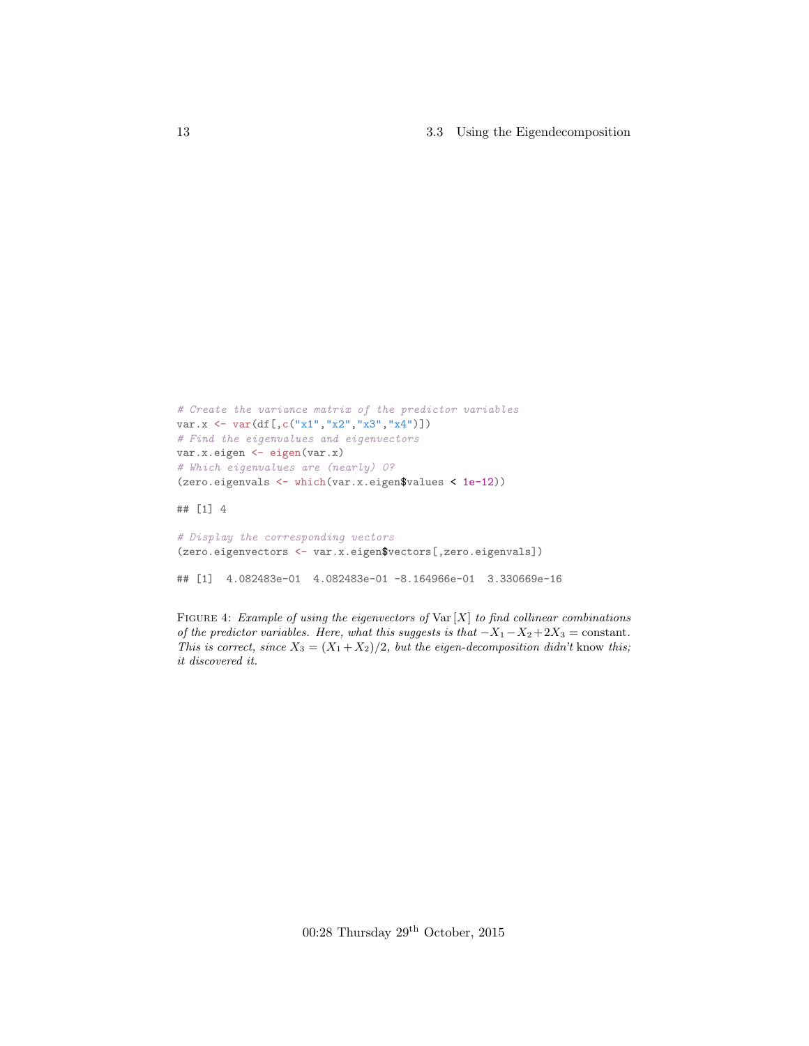13 3.3 Using the Eigendecomposition

```
# Create the variance matrix of the predictor variables
var.x <- var(df[,c("x1","x2","x3","x4")])
# Find the eigenvalues and eigenvectors
var.x.eigen <- eigen(var.x)
# Which eigenvalues are (nearly) 0?
(zero.eigenvals <- which(var.x.eigen$values < 1e-12))
```
## [1] 4

```
# Display the corresponding vectors
(zero.eigenvectors <- var.x.eigen$vectors[,zero.eigenvals])
```
## [1] 4.082483e-01 4.082483e-01 -8.164966e-01 3.330669e-16

FIGURE 4: Example of using the eigenvectors of  $\text{Var}[X]$  to find collinear combinations of the predictor variables. Here, what this suggests is that  $-X_1-X_2+2X_3 = \text{constant}$ . This is correct, since  $X_3 = (X_1 + X_2)/2$ , but the eigen-decomposition didn't know this; it discovered it.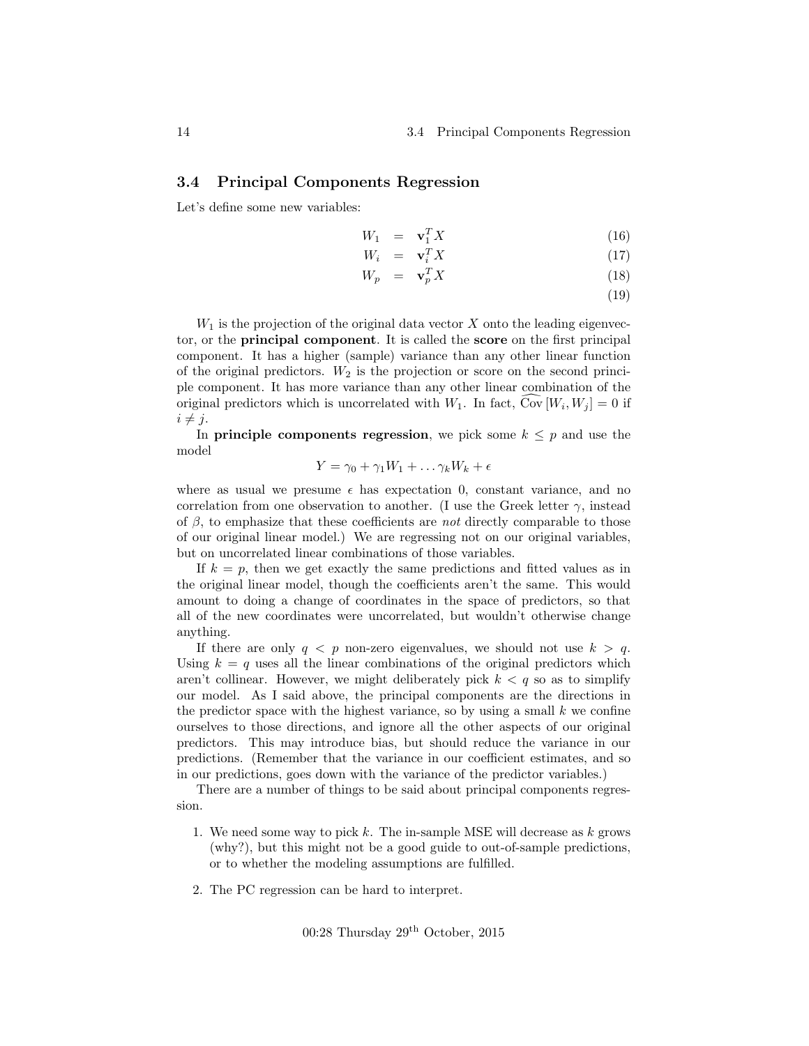#### <span id="page-13-0"></span>3.4 Principal Components Regression

Let's define some new variables:

$$
W_1 = \mathbf{v}_1^T X \tag{16}
$$

$$
W_i = \mathbf{v}_i^T X \tag{17}
$$

$$
W_p = \mathbf{v}_p^T X \tag{18}
$$

(19)

 $W_1$  is the projection of the original data vector  $X$  onto the leading eigenvector, or the principal component. It is called the score on the first principal component. It has a higher (sample) variance than any other linear function of the original predictors.  $W_2$  is the projection or score on the second principle component. It has more variance than any other linear combination of the original predictors which is uncorrelated with  $W_1$ . In fact,  $Cov[W_i, W_j] = 0$  if  $i \neq j$ .

In **principle components regression**, we pick some  $k \leq p$  and use the model

$$
Y = \gamma_0 + \gamma_1 W_1 + \dots \gamma_k W_k + \epsilon
$$

where as usual we presume  $\epsilon$  has expectation 0, constant variance, and no correlation from one observation to another. (I use the Greek letter  $\gamma$ , instead of  $\beta$ , to emphasize that these coefficients are *not* directly comparable to those of our original linear model.) We are regressing not on our original variables, but on uncorrelated linear combinations of those variables.

If  $k = p$ , then we get exactly the same predictions and fitted values as in the original linear model, though the coefficients aren't the same. This would amount to doing a change of coordinates in the space of predictors, so that all of the new coordinates were uncorrelated, but wouldn't otherwise change anything.

If there are only  $q < p$  non-zero eigenvalues, we should not use  $k > q$ . Using  $k = q$  uses all the linear combinations of the original predictors which aren't collinear. However, we might deliberately pick  $k < q$  so as to simplify our model. As I said above, the principal components are the directions in the predictor space with the highest variance, so by using a small  $k$  we confine ourselves to those directions, and ignore all the other aspects of our original predictors. This may introduce bias, but should reduce the variance in our predictions. (Remember that the variance in our coefficient estimates, and so in our predictions, goes down with the variance of the predictor variables.)

There are a number of things to be said about principal components regression.

- 1. We need some way to pick k. The in-sample MSE will decrease as  $k$  grows (why?), but this might not be a good guide to out-of-sample predictions, or to whether the modeling assumptions are fulfilled.
- 2. The PC regression can be hard to interpret.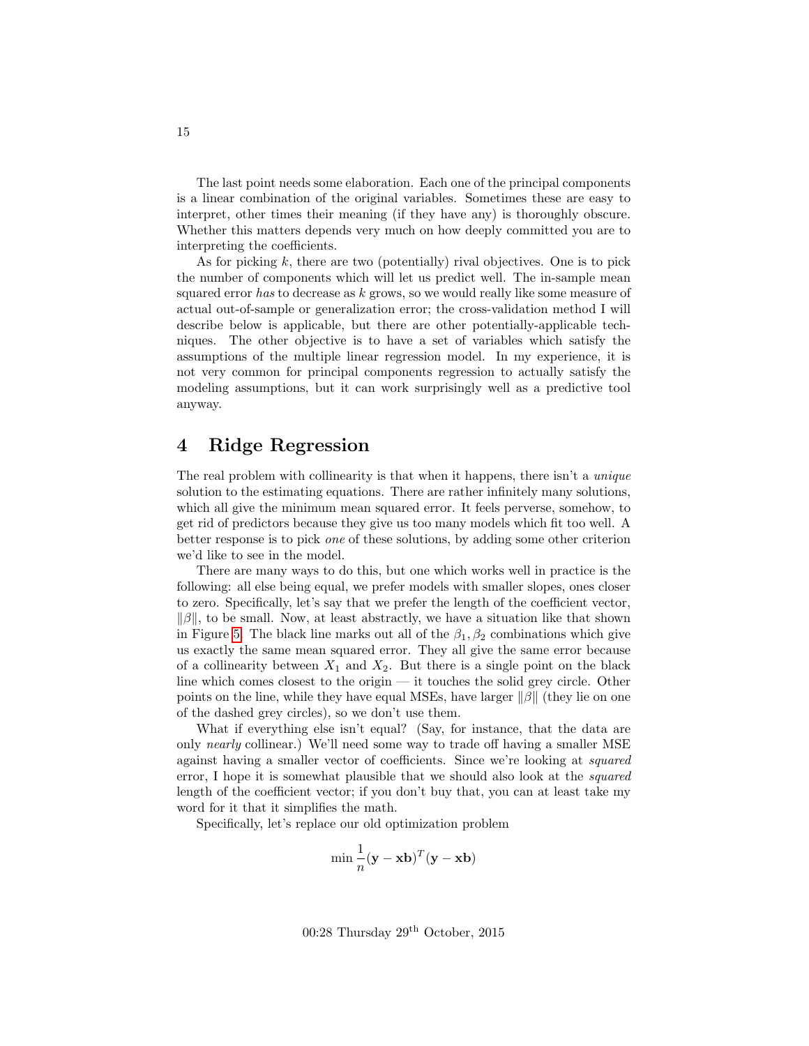The last point needs some elaboration. Each one of the principal components is a linear combination of the original variables. Sometimes these are easy to interpret, other times their meaning (if they have any) is thoroughly obscure. Whether this matters depends very much on how deeply committed you are to interpreting the coefficients.

As for picking  $k$ , there are two (potentially) rival objectives. One is to pick the number of components which will let us predict well. The in-sample mean squared error has to decrease as  $k$  grows, so we would really like some measure of actual out-of-sample or generalization error; the cross-validation method I will describe below is applicable, but there are other potentially-applicable techniques. The other objective is to have a set of variables which satisfy the assumptions of the multiple linear regression model. In my experience, it is not very common for principal components regression to actually satisfy the modeling assumptions, but it can work surprisingly well as a predictive tool anyway.

### <span id="page-14-0"></span>4 Ridge Regression

The real problem with collinearity is that when it happens, there isn't a *unique* solution to the estimating equations. There are rather infinitely many solutions, which all give the minimum mean squared error. It feels perverse, somehow, to get rid of predictors because they give us too many models which fit too well. A better response is to pick one of these solutions, by adding some other criterion we'd like to see in the model.

There are many ways to do this, but one which works well in practice is the following: all else being equal, we prefer models with smaller slopes, ones closer to zero. Specifically, let's say that we prefer the length of the coefficient vector,  $\|\beta\|$ , to be small. Now, at least abstractly, we have a situation like that shown in Figure [5.](#page-15-0) The black line marks out all of the  $\beta_1, \beta_2$  combinations which give us exactly the same mean squared error. They all give the same error because of a collinearity between  $X_1$  and  $X_2$ . But there is a single point on the black line which comes closest to the origin — it touches the solid grey circle. Other points on the line, while they have equal MSEs, have larger  $\|\beta\|$  (they lie on one of the dashed grey circles), so we don't use them.

What if everything else isn't equal? (Say, for instance, that the data are only nearly collinear.) We'll need some way to trade off having a smaller MSE against having a smaller vector of coefficients. Since we're looking at squared error, I hope it is somewhat plausible that we should also look at the squared length of the coefficient vector; if you don't buy that, you can at least take my word for it that it simplifies the math.

Specifically, let's replace our old optimization problem

$$
\min \frac{1}{n} (\mathbf{y} - \mathbf{x} \mathbf{b})^T (\mathbf{y} - \mathbf{x} \mathbf{b})
$$

 $00:28$  Thursday  $29<sup>th</sup>$  October,  $2015$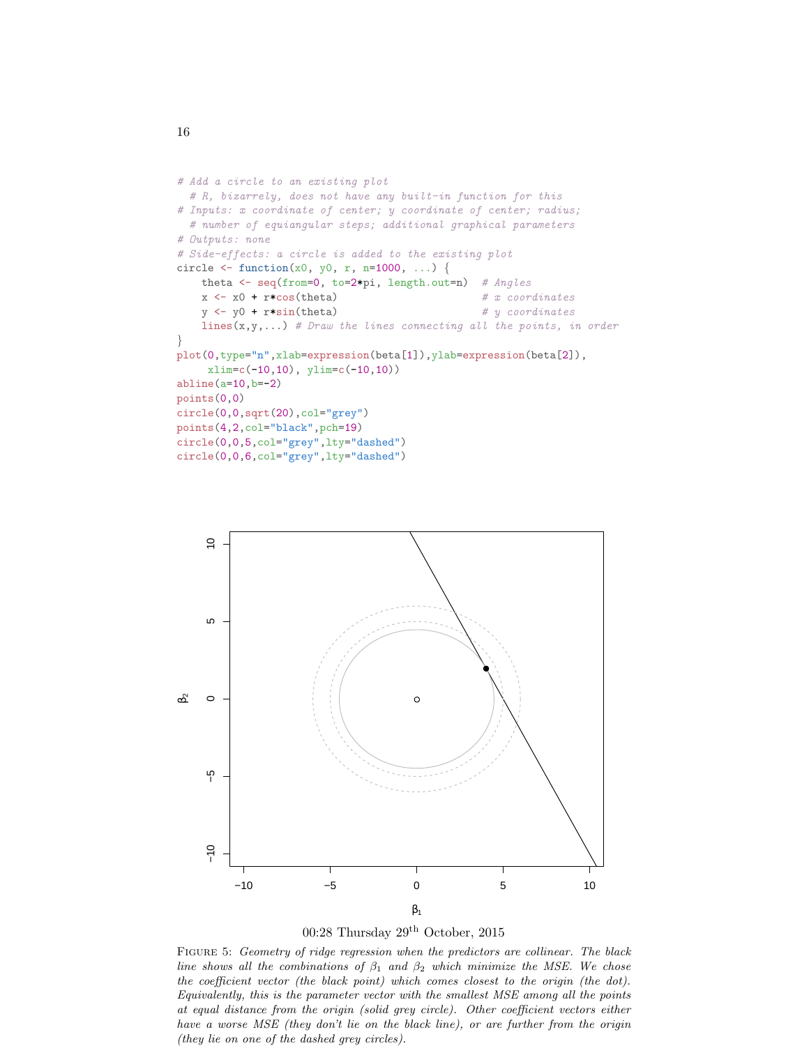```
# Add a circle to an existing plot
  # R, bizarrely, does not have any built-in function for this
# Inputs: x coordinate of center; y coordinate of center; radius;
  # number of equiangular steps; additional graphical parameters
# Outputs: none
# Side-effects: a circle is added to the existing plot
circle \le function(x0, y0, r, n=1000, ...) {
   theta <- seq(from=0, to=2*pi, length.out=n) # Angles
   x \leftarrow x0 + r * cos(theta) # x coordinates
   y \leftarrow y0 + r * \sin(\theta) # y coordinates
   lines(x,y,...) # Draw the lines connecting all the points, in order
}
plot(0,type="n",xlab=expression(beta[1]),ylab=expression(beta[2]),
     xlim=c(-10,10), ylim=c(-10,10))
abline(a=10,b=-2)points(0,0)
circle(0,0,sqrt(20),col="grey")
points(4,2,col="black",pch=19)
circle(0,0,5,col="grey",lty="dashed")
circle(0,0,6,col="grey",lty="dashed")
```




FIGURE 5: Geometry of ridge regression when the predictors are collinear. The black line shows all the combinations of  $\beta_1$  and  $\beta_2$  which minimize the MSE. We chose the coefficient vector (the black point) which comes closest to the origin (the dot). Equivalently, this is the parameter vector with the smallest MSE among all the points at equal distance from the origin (solid grey circle). Other coefficient vectors either have a worse MSE (they don't lie on the black line), or are further from the origin (they lie on one of the dashed grey circles).

16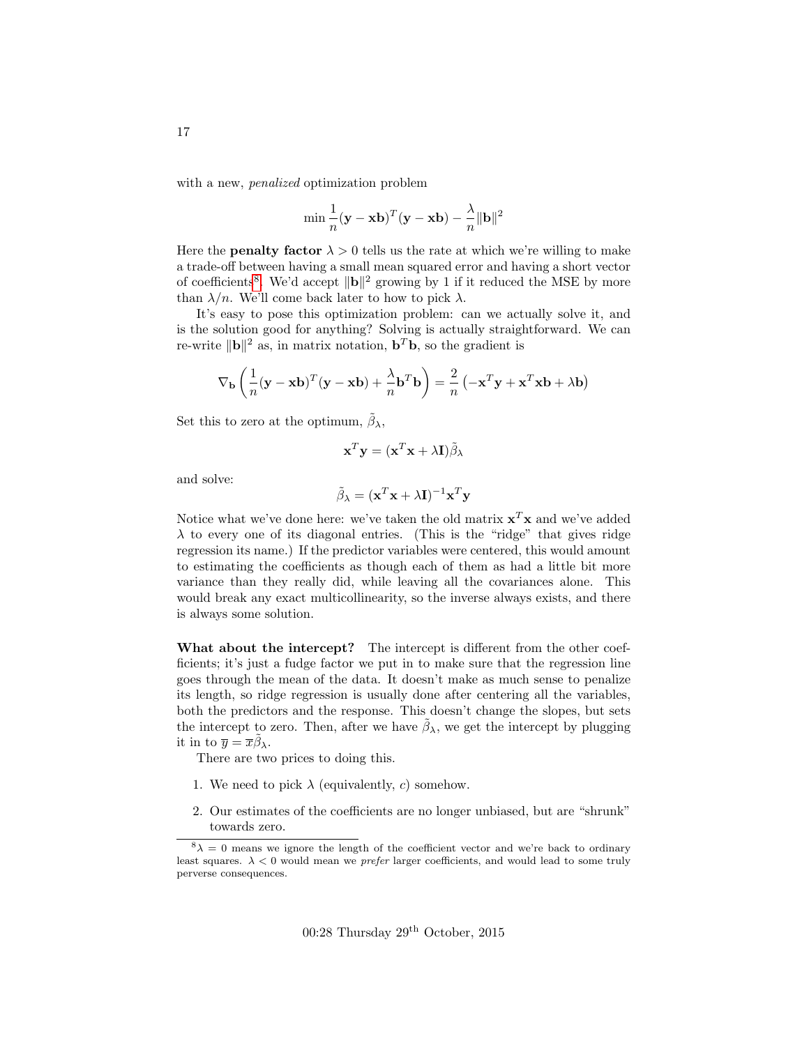with a new, *penalized* optimization problem

$$
\min \frac{1}{n} (\mathbf{y} - \mathbf{x} \mathbf{b})^T (\mathbf{y} - \mathbf{x} \mathbf{b}) - \frac{\lambda}{n} \|\mathbf{b}\|^2
$$

Here the **penalty factor**  $\lambda > 0$  tells us the rate at which we're willing to make a trade-off between having a small mean squared error and having a short vector of coefficients<sup>[8](#page-16-0)</sup>. We'd accept  $\|\mathbf{b}\|^2$  growing by 1 if it reduced the MSE by more than  $\lambda/n$ . We'll come back later to how to pick  $\lambda$ .

It's easy to pose this optimization problem: can we actually solve it, and is the solution good for anything? Solving is actually straightforward. We can re-write  $\|\mathbf{b}\|^2$  as, in matrix notation,  $\mathbf{b}^T\mathbf{b}$ , so the gradient is

$$
\nabla_{\mathbf{b}} \left( \frac{1}{n} (\mathbf{y} - \mathbf{x} \mathbf{b})^T (\mathbf{y} - \mathbf{x} \mathbf{b}) + \frac{\lambda}{n} \mathbf{b}^T \mathbf{b} \right) = \frac{2}{n} \left( -\mathbf{x}^T \mathbf{y} + \mathbf{x}^T \mathbf{x} \mathbf{b} + \lambda \mathbf{b} \right)
$$

Set this to zero at the optimum,  $\tilde{\beta}_{\lambda}$ ,

$$
\mathbf{x}^T \mathbf{y} = (\mathbf{x}^T \mathbf{x} + \lambda \mathbf{I}) \tilde{\beta}_{\lambda}
$$

and solve:

$$
\tilde{\beta}_{\lambda} = (\mathbf{x}^T \mathbf{x} + \lambda \mathbf{I})^{-1} \mathbf{x}^T \mathbf{y}
$$

Notice what we've done here: we've taken the old matrix  $\mathbf{x}^T \mathbf{x}$  and we've added  $\lambda$  to every one of its diagonal entries. (This is the "ridge" that gives ridge regression its name.) If the predictor variables were centered, this would amount to estimating the coefficients as though each of them as had a little bit more variance than they really did, while leaving all the covariances alone. This would break any exact multicollinearity, so the inverse always exists, and there is always some solution.

What about the intercept? The intercept is different from the other coefficients; it's just a fudge factor we put in to make sure that the regression line goes through the mean of the data. It doesn't make as much sense to penalize its length, so ridge regression is usually done after centering all the variables, both the predictors and the response. This doesn't change the slopes, but sets the intercept to zero. Then, after we have  $\tilde{\beta}_{\lambda}$ , we get the intercept by plugging it in to  $\overline{y} = \overline{x}\tilde{\beta}_{\lambda}$ .

There are two prices to doing this.

- 1. We need to pick  $\lambda$  (equivalently, c) somehow.
- 2. Our estimates of the coefficients are no longer unbiased, but are "shrunk" towards zero.

<span id="page-16-0"></span> $8\lambda = 0$  means we ignore the length of the coefficient vector and we're back to ordinary least squares.  $\lambda < 0$  would mean we *prefer* larger coefficients, and would lead to some truly perverse consequences.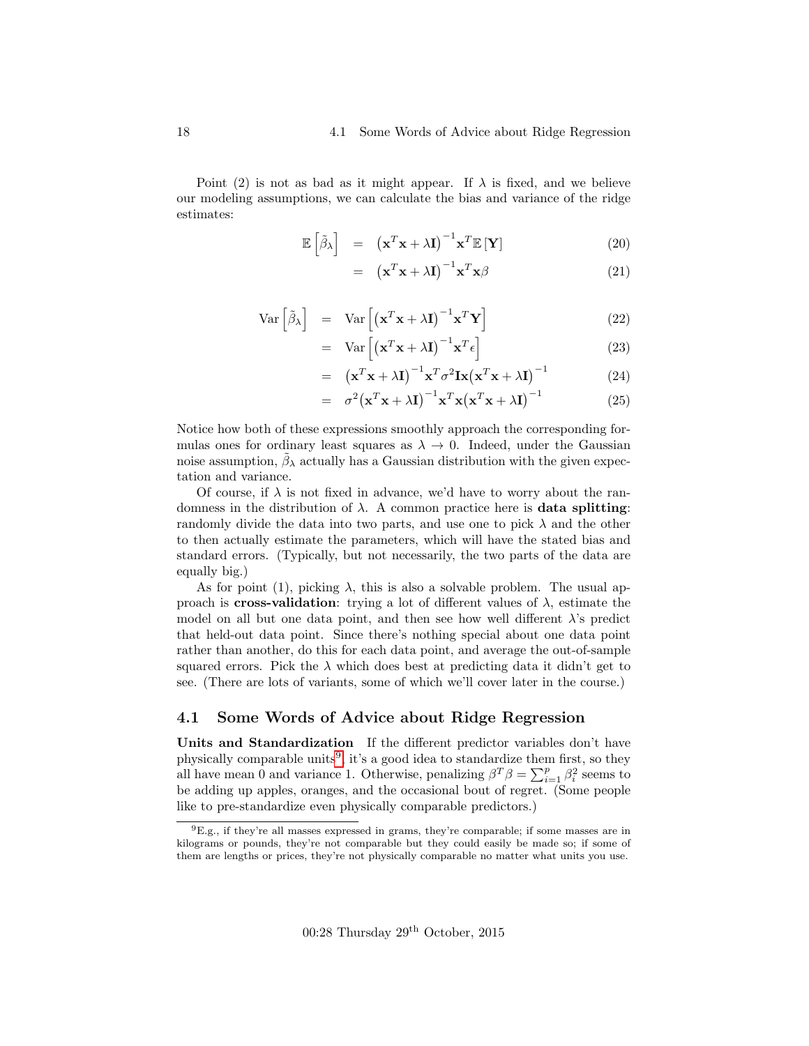Point (2) is not as bad as it might appear. If  $\lambda$  is fixed, and we believe our modeling assumptions, we can calculate the bias and variance of the ridge estimates:

$$
\mathbb{E}\left[\tilde{\beta}_{\lambda}\right] = \left(\mathbf{x}^{T}\mathbf{x} + \lambda \mathbf{I}\right)^{-1}\mathbf{x}^{T}\mathbb{E}\left[\mathbf{Y}\right]
$$
\n(20)

$$
= (\mathbf{x}^T \mathbf{x} + \lambda \mathbf{I})^{-1} \mathbf{x}^T \mathbf{x} \beta \tag{21}
$$

$$
Var\left[\tilde{\beta}_{\lambda}\right] = Var\left[\left(\mathbf{x}^{T}\mathbf{x} + \lambda\mathbf{I}\right)^{-1}\mathbf{x}^{T}\mathbf{Y}\right]
$$
\n(22)

$$
= \operatorname{Var}\left[ \left( \mathbf{x}^T \mathbf{x} + \lambda \mathbf{I} \right)^{-1} \mathbf{x}^T \epsilon \right] \tag{23}
$$

$$
= (\mathbf{x}^T \mathbf{x} + \lambda \mathbf{I})^{-1} \mathbf{x}^T \sigma^2 \mathbf{I} \mathbf{x} (\mathbf{x}^T \mathbf{x} + \lambda \mathbf{I})^{-1}
$$
(24)

$$
= \sigma^2 (\mathbf{x}^T \mathbf{x} + \lambda \mathbf{I})^{-1} \mathbf{x}^T \mathbf{x} (\mathbf{x}^T \mathbf{x} + \lambda \mathbf{I})^{-1}
$$
(25)

Notice how both of these expressions smoothly approach the corresponding formulas ones for ordinary least squares as  $\lambda \to 0$ . Indeed, under the Gaussian noise assumption,  $\tilde{\beta}_{\lambda}$  actually has a Gaussian distribution with the given expectation and variance.

Of course, if  $\lambda$  is not fixed in advance, we'd have to worry about the randomness in the distribution of  $\lambda$ . A common practice here is **data splitting**: randomly divide the data into two parts, and use one to pick  $\lambda$  and the other to then actually estimate the parameters, which will have the stated bias and standard errors. (Typically, but not necessarily, the two parts of the data are equally big.)

As for point (1), picking  $\lambda$ , this is also a solvable problem. The usual approach is **cross-validation**: trying a lot of different values of  $\lambda$ , estimate the model on all but one data point, and then see how well different  $\lambda$ 's predict that held-out data point. Since there's nothing special about one data point rather than another, do this for each data point, and average the out-of-sample squared errors. Pick the  $\lambda$  which does best at predicting data it didn't get to see. (There are lots of variants, some of which we'll cover later in the course.)

#### <span id="page-17-0"></span>4.1 Some Words of Advice about Ridge Regression

Units and Standardization If the different predictor variables don't have physically comparable units<sup>[9](#page-17-1)</sup>, it's a good idea to standardize them first, so they all have mean 0 and variance 1. Otherwise, penalizing  $\beta^T \beta = \sum_{i=1}^p \beta_i^2$  seems to be adding up apples, oranges, and the occasional bout of regret. (Some people like to pre-standardize even physically comparable predictors.)

<span id="page-17-1"></span> ${}^{9}E.g.,$  if they're all masses expressed in grams, they're comparable; if some masses are in kilograms or pounds, they're not comparable but they could easily be made so; if some of them are lengths or prices, they're not physically comparable no matter what units you use.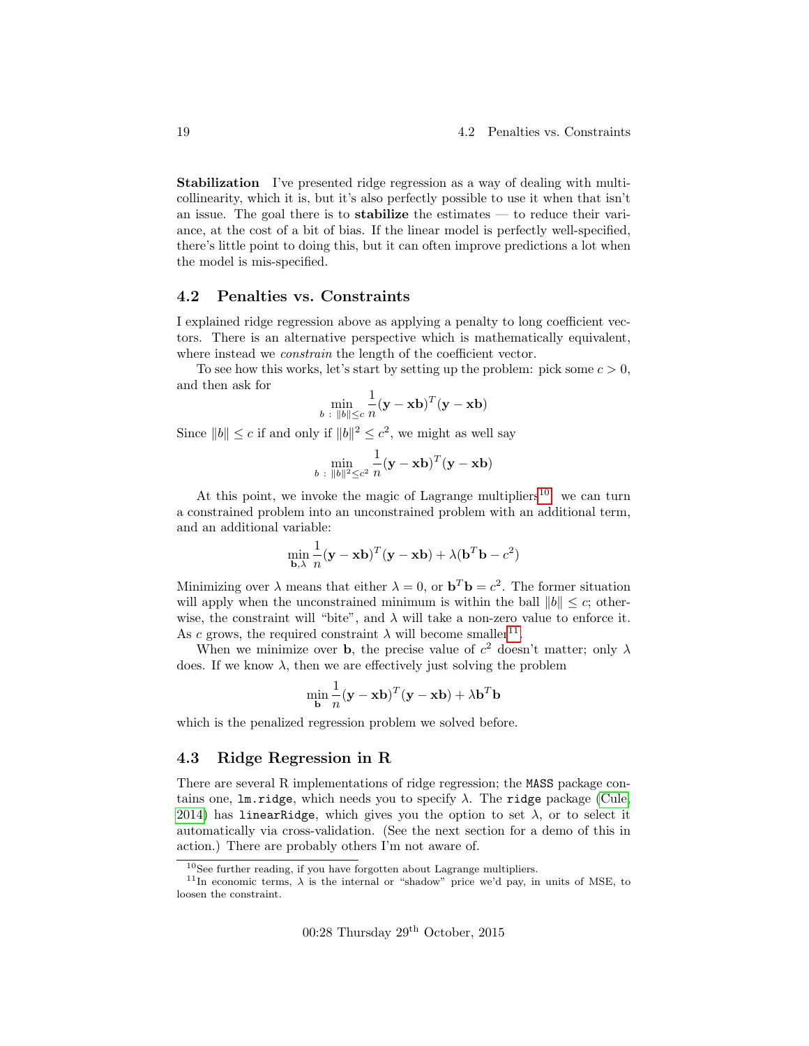Stabilization I've presented ridge regression as a way of dealing with multicollinearity, which it is, but it's also perfectly possible to use it when that isn't an issue. The goal there is to stabilize the estimates — to reduce their variance, at the cost of a bit of bias. If the linear model is perfectly well-specified, there's little point to doing this, but it can often improve predictions a lot when the model is mis-specified.

#### <span id="page-18-0"></span>4.2 Penalties vs. Constraints

I explained ridge regression above as applying a penalty to long coefficient vectors. There is an alternative perspective which is mathematically equivalent, where instead we *constrain* the length of the coefficient vector.

To see how this works, let's start by setting up the problem: pick some  $c > 0$ , and then ask for

$$
\min_{b \; : \; \|b\| \le c} \frac{1}{n} (\mathbf{y} - \mathbf{x} \mathbf{b})^T (\mathbf{y} - \mathbf{x} \mathbf{b})
$$

Since  $||b|| \leq c$  if and only if  $||b||^2 \leq c^2$ , we might as well say

$$
\min_{b \; : \; \|b\|^2 \leq c^2} \frac{1}{n} (\mathbf{y} - \mathbf{x} \mathbf{b})^T (\mathbf{y} - \mathbf{x} \mathbf{b})
$$

At this point, we invoke the magic of Lagrange multipliers<sup>[10](#page-18-2)</sup>: we can turn a constrained problem into an unconstrained problem with an additional term, and an additional variable:

$$
\min_{\mathbf{b}, \lambda} \frac{1}{n} (\mathbf{y} - \mathbf{x} \mathbf{b})^T (\mathbf{y} - \mathbf{x} \mathbf{b}) + \lambda (\mathbf{b}^T \mathbf{b} - c^2)
$$

Minimizing over  $\lambda$  means that either  $\lambda = 0$ , or  $\mathbf{b}^T \mathbf{b} = c^2$ . The former situation will apply when the unconstrained minimum is within the ball  $||b|| \leq c$ ; otherwise, the constraint will "bite", and  $\lambda$  will take a non-zero value to enforce it. As c grows, the required constraint  $\lambda$  will become smaller<sup>[11](#page-18-3)</sup>.

When we minimize over **b**, the precise value of  $c^2$  doesn't matter; only  $\lambda$ does. If we know  $\lambda$ , then we are effectively just solving the problem

$$
\min_{\mathbf{b}} \frac{1}{n} (\mathbf{y} - \mathbf{x} \mathbf{b})^T (\mathbf{y} - \mathbf{x} \mathbf{b}) + \lambda \mathbf{b}^T \mathbf{b}
$$

which is the penalized regression problem we solved before.

#### <span id="page-18-1"></span>4.3 Ridge Regression in R

There are several R implementations of ridge regression; the MASS package contains one, lm.ridge, which needs you to specify  $\lambda$ . The ridge package [\(Cule,](#page-22-1) [2014\)](#page-22-1) has linearRidge, which gives you the option to set  $\lambda$ , or to select it automatically via cross-validation. (See the next section for a demo of this in action.) There are probably others I'm not aware of.

<span id="page-18-3"></span><span id="page-18-2"></span> $10$ See further reading, if you have forgotten about Lagrange multipliers.

<sup>&</sup>lt;sup>11</sup>In economic terms,  $\lambda$  is the internal or "shadow" price we'd pay, in units of MSE, to loosen the constraint.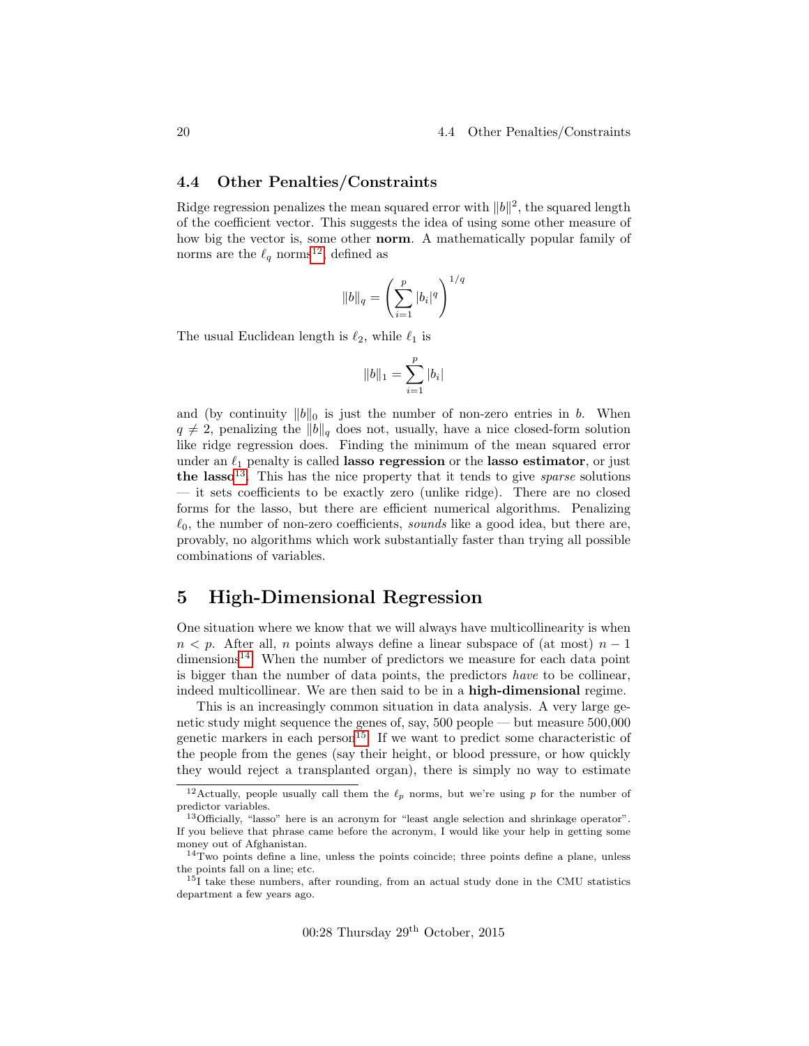#### <span id="page-19-0"></span>4.4 Other Penalties/Constraints

Ridge regression penalizes the mean squared error with  $||b||^2$ , the squared length of the coefficient vector. This suggests the idea of using some other measure of how big the vector is, some other norm. A mathematically popular family of norms are the  $\ell_q$  norms<sup>[12](#page-19-2)</sup>, defined as

$$
||b||_q = \left(\sum_{i=1}^p |b_i|^q\right)^{1/q}
$$

The usual Euclidean length is  $\ell_2$ , while  $\ell_1$  is

$$
||b||_1 = \sum_{i=1}^p |b_i|
$$

and (by continuity  $||b||_0$  is just the number of non-zero entries in b. When  $q \neq 2$ , penalizing the  $||b||_q$  does not, usually, have a nice closed-form solution like ridge regression does. Finding the minimum of the mean squared error under an  $\ell_1$  penalty is called lasso regression or the lasso estimator, or just the lasso<sup>[13](#page-19-3)</sup>. This has the nice property that it tends to give *sparse* solutions — it sets coefficients to be exactly zero (unlike ridge). There are no closed forms for the lasso, but there are efficient numerical algorithms. Penalizing  $\ell_0$ , the number of non-zero coefficients, sounds like a good idea, but there are, provably, no algorithms which work substantially faster than trying all possible combinations of variables.

# <span id="page-19-1"></span>5 High-Dimensional Regression

One situation where we know that we will always have multicollinearity is when  $n < p$ . After all, n points always define a linear subspace of (at most)  $n - 1$ dimensions<sup>[14](#page-19-4)</sup>. When the number of predictors we measure for each data point is bigger than the number of data points, the predictors have to be collinear, indeed multicollinear. We are then said to be in a high-dimensional regime.

This is an increasingly common situation in data analysis. A very large genetic study might sequence the genes of, say, 500 people — but measure 500,000 genetic markers in each person<sup>[15](#page-19-5)</sup>. If we want to predict some characteristic of the people from the genes (say their height, or blood pressure, or how quickly they would reject a transplanted organ), there is simply no way to estimate

00:28 Thursday 29th October, 2015

<span id="page-19-2"></span><sup>&</sup>lt;sup>12</sup>Actually, people usually call them the  $\ell_p$  norms, but we're using p for the number of predictor variables.

<span id="page-19-3"></span><sup>13</sup>Officially, "lasso" here is an acronym for "least angle selection and shrinkage operator". If you believe that phrase came before the acronym, I would like your help in getting some money out of Afghanistan.

<span id="page-19-4"></span> $14$ Two points define a line, unless the points coincide; three points define a plane, unless the points fall on a line; etc.

<span id="page-19-5"></span><sup>&</sup>lt;sup>15</sup>I take these numbers, after rounding, from an actual study done in the CMU statistics department a few years ago.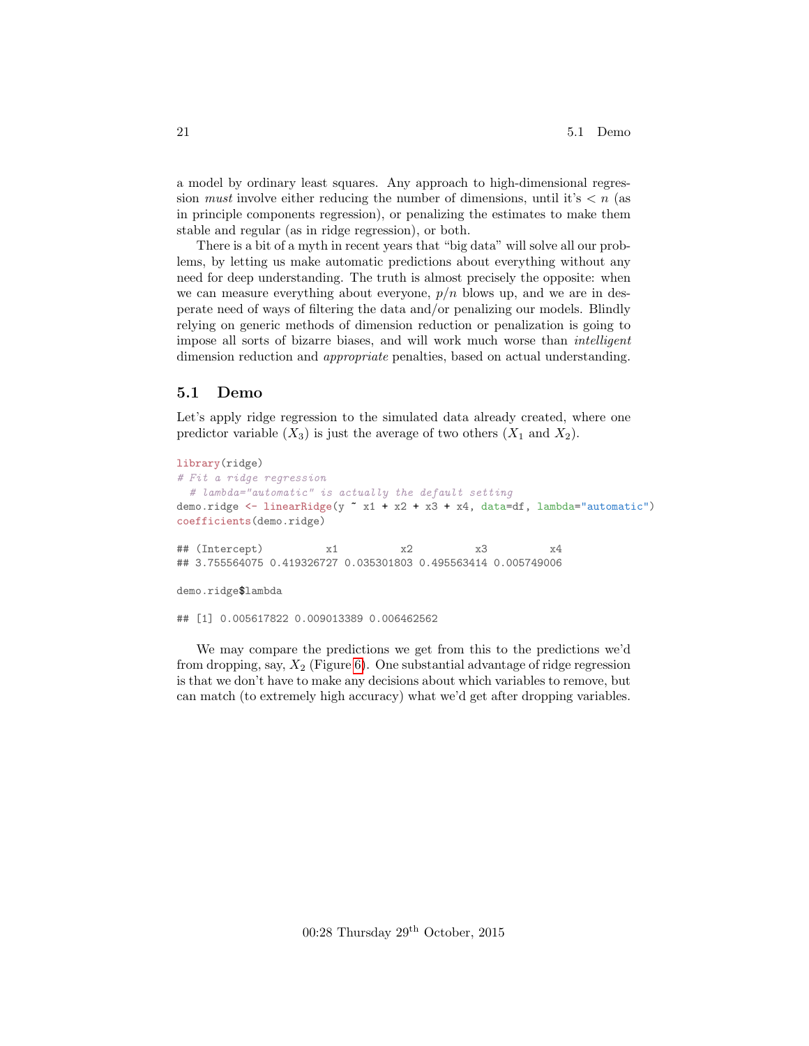a model by ordinary least squares. Any approach to high-dimensional regression *must* involve either reducing the number of dimensions, until it's  $\lt n$  (as in principle components regression), or penalizing the estimates to make them stable and regular (as in ridge regression), or both.

There is a bit of a myth in recent years that "big data" will solve all our problems, by letting us make automatic predictions about everything without any need for deep understanding. The truth is almost precisely the opposite: when we can measure everything about everyone,  $p/n$  blows up, and we are in desperate need of ways of filtering the data and/or penalizing our models. Blindly relying on generic methods of dimension reduction or penalization is going to impose all sorts of bizarre biases, and will work much worse than intelligent dimension reduction and *appropriate* penalties, based on actual understanding.

#### <span id="page-20-0"></span>5.1 Demo

Let's apply ridge regression to the simulated data already created, where one predictor variable  $(X_3)$  is just the average of two others  $(X_1 \text{ and } X_2)$ .

```
library(ridge)
# Fit a ridge regression
  # lambda="automatic" is actually the default setting
demo.ridge <- linearRidge(y x + x2 + x3 + x4, data=df, lambda="automatic")
coefficients(demo.ridge)
## (Intercept) x1 x2 x3 x4
## 3.755564075 0.419326727 0.035301803 0.495563414 0.005749006
demo.ridge$lambda
## [1] 0.005617822 0.009013389 0.006462562
```
We may compare the predictions we get from this to the predictions we'd from dropping, say,  $X_2$  (Figure [6\)](#page-21-0). One substantial advantage of ridge regression is that we don't have to make any decisions about which variables to remove, but can match (to extremely high accuracy) what we'd get after dropping variables.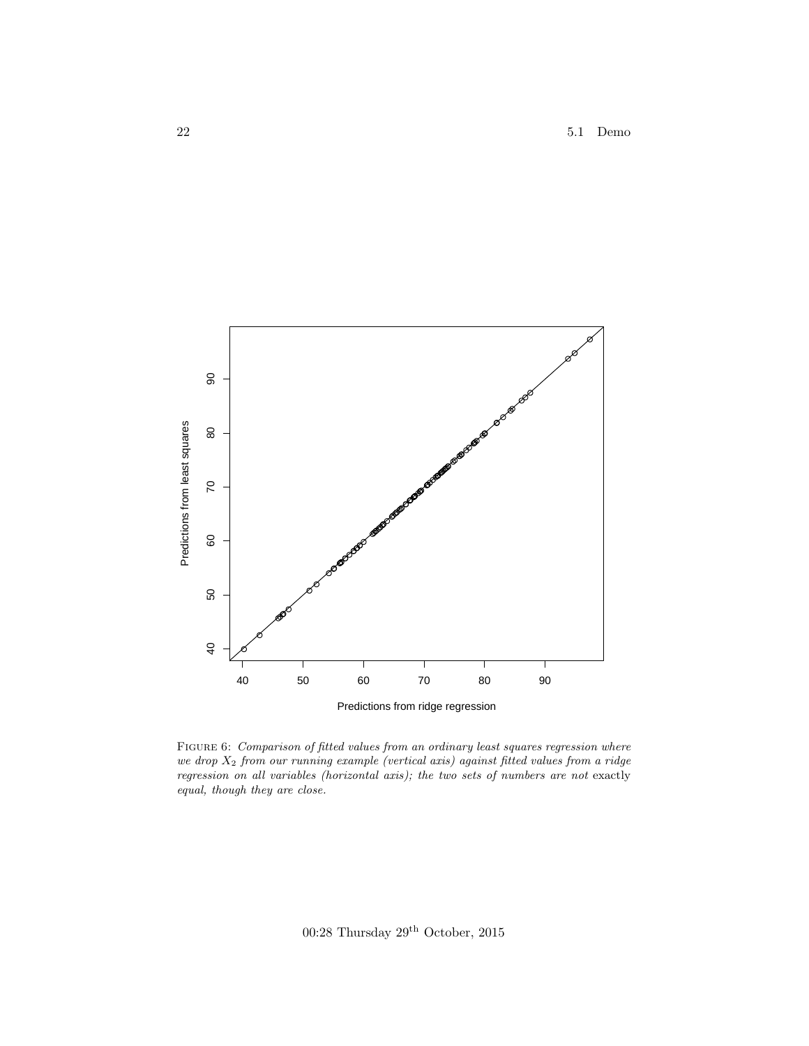<span id="page-21-0"></span>

Figure 6: Comparison of fitted values from an ordinary least squares regression where we drop  $X_2$  from our running example (vertical axis) against fitted values from a ridge regression on all variables (horizontal axis); the two sets of numbers are not exactly equal, though they are close.

00:28 Thursday  $29^{\rm th}$  October, 2015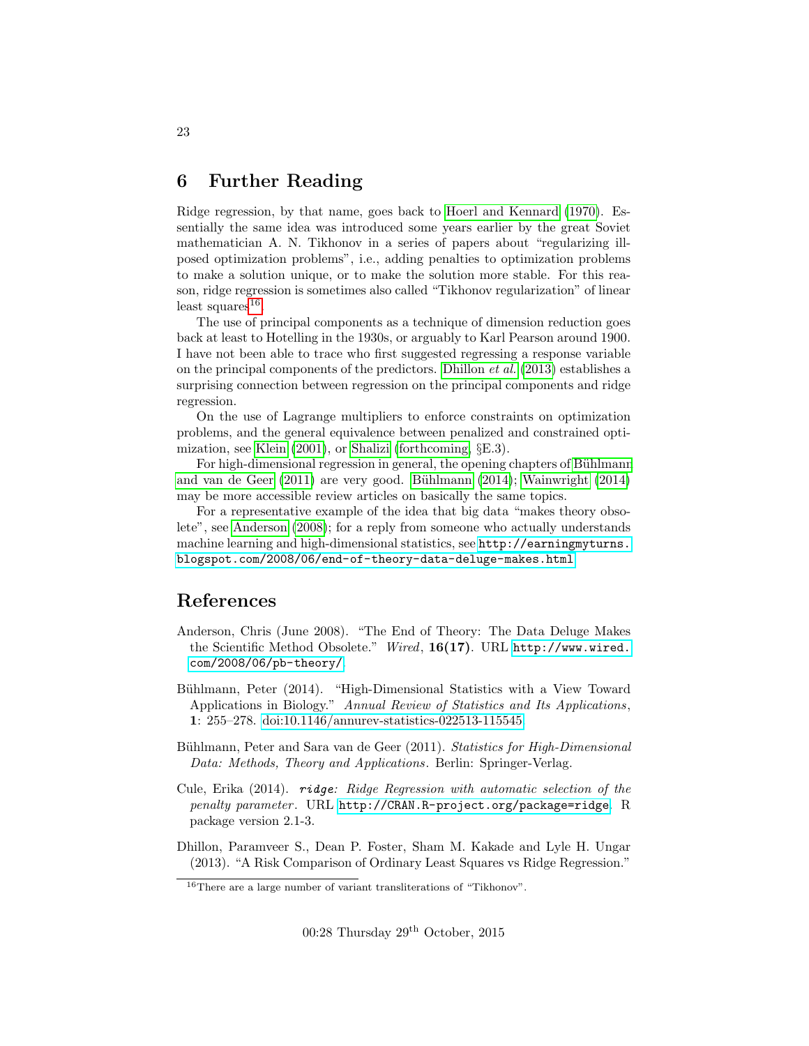## <span id="page-22-0"></span>6 Further Reading

Ridge regression, by that name, goes back to [Hoerl and Kennard](#page-23-0) [\(1970\)](#page-23-0). Essentially the same idea was introduced some years earlier by the great Soviet mathematician A. N. Tikhonov in a series of papers about "regularizing illposed optimization problems", i.e., adding penalties to optimization problems to make a solution unique, or to make the solution more stable. For this reason, ridge regression is sometimes also called "Tikhonov regularization" of linear  $least\ squares^{16}$  $least\ squares^{16}$  $least\ squares^{16}$ .

The use of principal components as a technique of dimension reduction goes back at least to Hotelling in the 1930s, or arguably to Karl Pearson around 1900. I have not been able to trace who first suggested regressing a response variable on the principal components of the predictors. [Dhillon](#page-22-3) et al. [\(2013\)](#page-22-3) establishes a surprising connection between regression on the principal components and ridge regression.

On the use of Lagrange multipliers to enforce constraints on optimization problems, and the general equivalence between penalized and constrained optimization, see [Klein](#page-23-1) [\(2001\)](#page-23-1), or [Shalizi](#page-23-2) [\(forthcoming,](#page-23-2) §E.3).

For high-dimensional regression in general, the opening chapters of Bühlmann [and van de Geer](#page-22-4) [\(2011\)](#page-22-4) are very good. Bühlmann [\(2014\)](#page-23-3); [Wainwright](#page-23-3) (2014) may be more accessible review articles on basically the same topics.

For a representative example of the idea that big data "makes theory obsolete", see [Anderson](#page-22-6) [\(2008\)](#page-22-6); for a reply from someone who actually understands machine learning and high-dimensional statistics, see [http://earningmyturns.](http://earningmyturns.blogspot.com/2008/06/end-of-theory-data-deluge-makes.html) [blogspot.com/2008/06/end-of-theory-data-deluge-makes.html](http://earningmyturns.blogspot.com/2008/06/end-of-theory-data-deluge-makes.html).

### References

- <span id="page-22-6"></span>Anderson, Chris (June 2008). "The End of Theory: The Data Deluge Makes the Scientific Method Obsolete." Wired, 16(17). URL [http://www.wired.](http://www.wired.com/2008/06/pb-theory/) [com/2008/06/pb-theory/](http://www.wired.com/2008/06/pb-theory/).
- <span id="page-22-5"></span>Bühlmann, Peter (2014). "High-Dimensional Statistics with a View Toward Applications in Biology." Annual Review of Statistics and Its Applications, 1: 255–278. [doi:10.1146/annurev-statistics-022513-115545.](http://dx.doi.org/10.1146/annurev-statistics-022513-115545)
- <span id="page-22-4"></span>Bühlmann, Peter and Sara van de Geer (2011). Statistics for High-Dimensional Data: Methods, Theory and Applications. Berlin: Springer-Verlag.
- <span id="page-22-1"></span>Cule, Erika  $(2014)$ . ridge: Ridge Regression with automatic selection of the penalty parameter. URL <http://CRAN.R-project.org/package=ridge>. R package version 2.1-3.
- <span id="page-22-3"></span>Dhillon, Paramveer S., Dean P. Foster, Sham M. Kakade and Lyle H. Ungar (2013). "A Risk Comparison of Ordinary Least Squares vs Ridge Regression."

<span id="page-22-2"></span><sup>16</sup>There are a large number of variant transliterations of "Tikhonov".